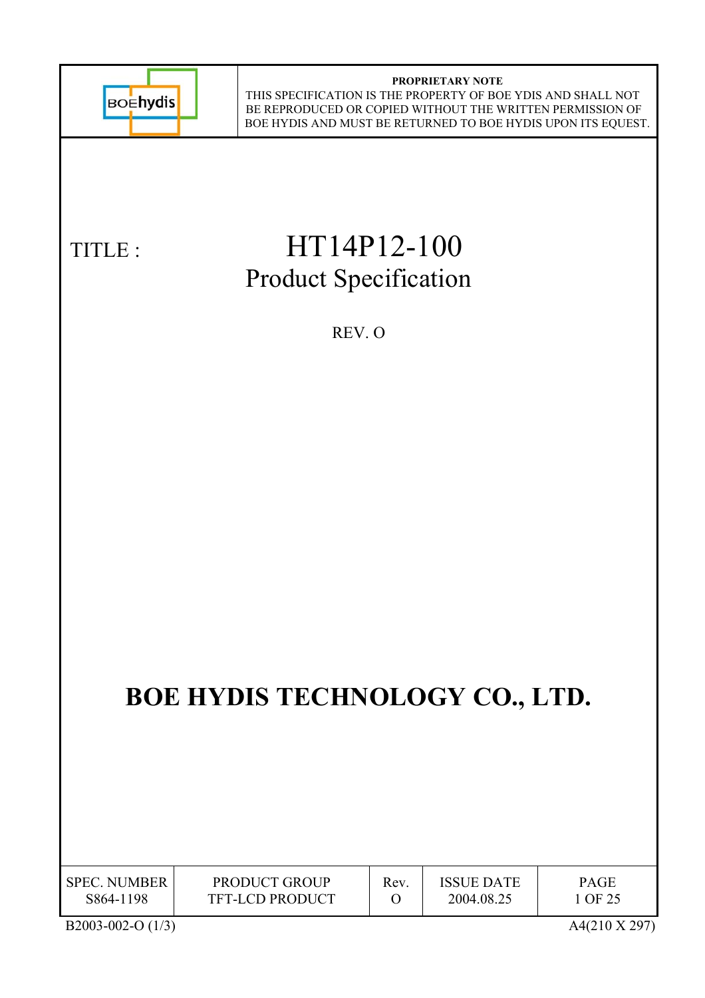

#### **PROPRIETARY NOTE** THIS SPECIFICATION IS THE PROPERTY OF BOE YDIS AND SHALL NOT BE REPRODUCED OR COPIED WITHOUT THE WRITTEN PERMISSION OF BOE HYDIS AND MUST BE RETURNED TO BOE HYDIS UPON ITS EQUEST.

# TITLE: HT14P12-100 Product Specification

REV. O

# **BOE HYDIS TECHNOLOGY CO., LTD.**

| <b>SPEC. NUMBER</b> | PRODUCT GROUP          | Rev. | <b>ISSUE DATE</b> | PAGE    |
|---------------------|------------------------|------|-------------------|---------|
| S864-1198           | <b>TFT-LCD PRODUCT</b> |      | 2004.08.25        | 1 OF 25 |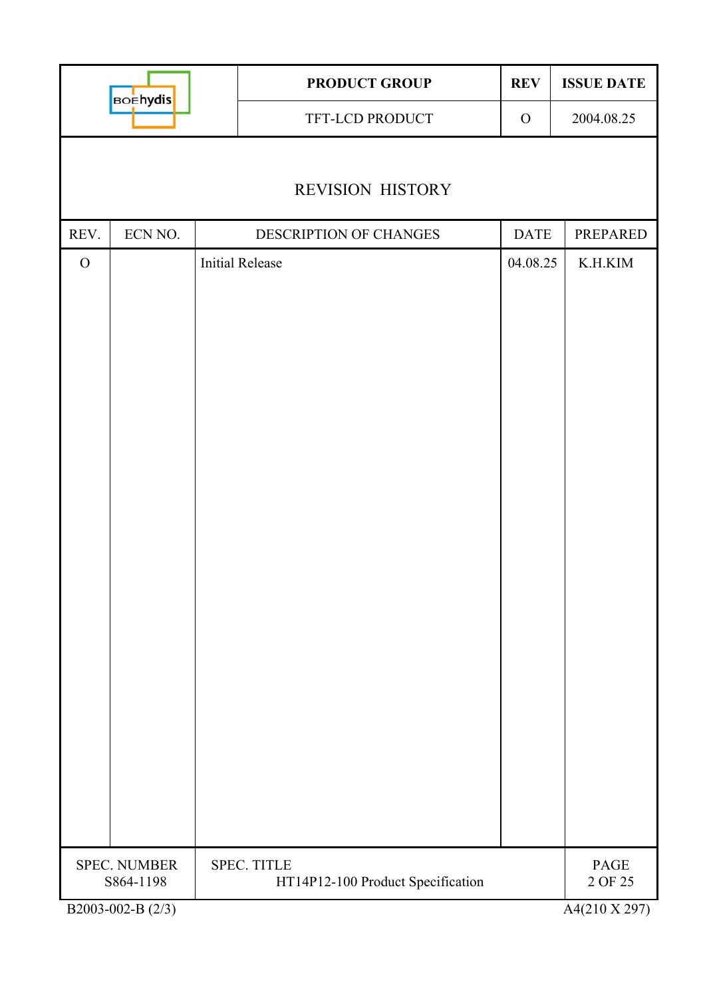| <b>BOEhydis</b> |                                  |  | PRODUCT GROUP                                           | <b>REV</b>    | <b>ISSUE DATE</b> |
|-----------------|----------------------------------|--|---------------------------------------------------------|---------------|-------------------|
|                 |                                  |  | TFT-LCD PRODUCT                                         | $\mathcal{O}$ | 2004.08.25        |
|                 |                                  |  |                                                         |               |                   |
|                 |                                  |  | <b>REVISION HISTORY</b>                                 |               |                   |
| REV.            | ECN NO.                          |  | DESCRIPTION OF CHANGES                                  | <b>DATE</b>   | PREPARED          |
| $\mathbf{O}$    |                                  |  | <b>Initial Release</b>                                  | 04.08.25      | K.H.KIM           |
|                 |                                  |  |                                                         |               |                   |
|                 |                                  |  |                                                         |               |                   |
|                 |                                  |  |                                                         |               |                   |
|                 |                                  |  |                                                         |               |                   |
|                 |                                  |  |                                                         |               |                   |
|                 |                                  |  |                                                         |               |                   |
|                 |                                  |  |                                                         |               |                   |
|                 |                                  |  |                                                         |               |                   |
|                 |                                  |  |                                                         |               |                   |
|                 |                                  |  |                                                         |               |                   |
|                 |                                  |  |                                                         |               |                   |
|                 |                                  |  |                                                         |               |                   |
|                 |                                  |  |                                                         |               |                   |
|                 |                                  |  |                                                         |               |                   |
|                 |                                  |  |                                                         |               |                   |
|                 |                                  |  |                                                         |               |                   |
|                 |                                  |  |                                                         |               |                   |
|                 |                                  |  |                                                         |               |                   |
|                 | <b>SPEC. NUMBER</b><br>S864-1198 |  | <b>SPEC. TITLE</b><br>HT14P12-100 Product Specification |               | PAGE<br>2 OF 25   |
|                 | B2003-002-B (2/3)                |  |                                                         |               | A4(210 X 297)     |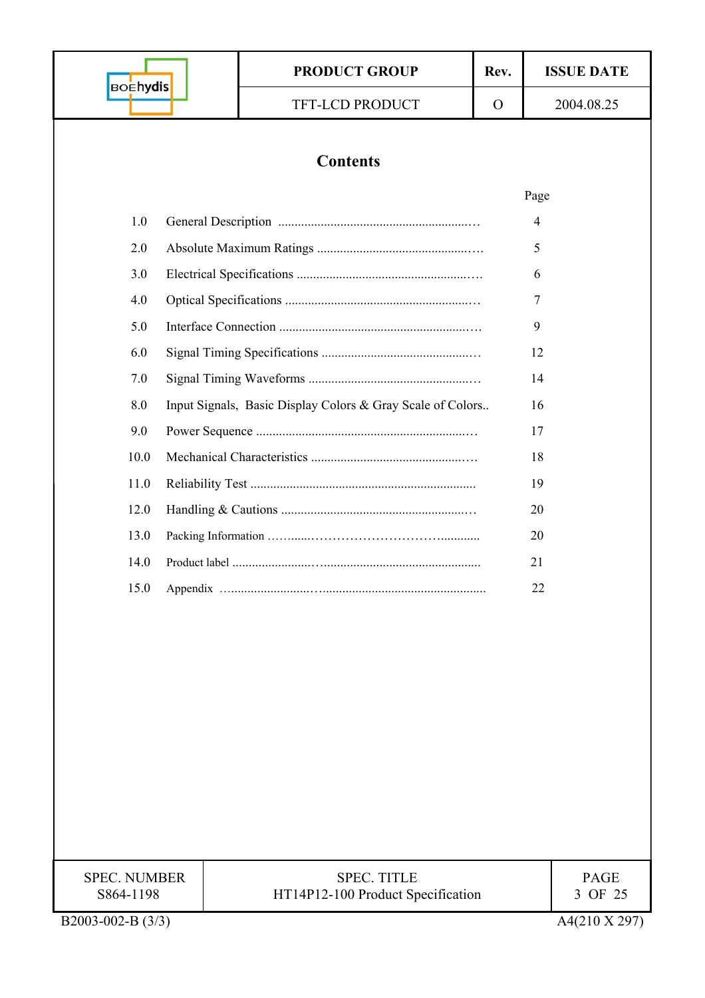|                     |  | <b>PRODUCT GROUP</b>                                       | Rev.     | <b>ISSUE DATE</b>        |
|---------------------|--|------------------------------------------------------------|----------|--------------------------|
| <b>BOEhydis</b>     |  | TFT-LCD PRODUCT                                            | $\Omega$ | 2004.08.25               |
|                     |  |                                                            |          |                          |
|                     |  | <b>Contents</b>                                            |          |                          |
|                     |  |                                                            |          | Page                     |
| 1.0                 |  |                                                            |          | $\overline{\mathcal{A}}$ |
| 2.0                 |  |                                                            |          | 5                        |
| 3.0                 |  |                                                            |          | 6                        |
| 4.0                 |  |                                                            |          | 7                        |
| 5.0                 |  |                                                            |          | 9                        |
| 6.0                 |  |                                                            |          | 12                       |
| 7.0                 |  |                                                            |          | 14                       |
| 8.0                 |  | Input Signals, Basic Display Colors & Gray Scale of Colors |          | 16                       |
| 9.0                 |  |                                                            |          | 17                       |
| 10.0                |  | 18                                                         |          |                          |
| 11.0                |  |                                                            |          | 19                       |
| 12.0                |  |                                                            |          | 20                       |
| 13.0                |  |                                                            |          | 20                       |
| 14.0                |  |                                                            |          | 21                       |
| 15.0                |  |                                                            |          | 22                       |
|                     |  |                                                            |          |                          |
|                     |  |                                                            |          |                          |
|                     |  |                                                            |          |                          |
|                     |  |                                                            |          |                          |
|                     |  |                                                            |          |                          |
|                     |  |                                                            |          |                          |
|                     |  |                                                            |          |                          |
|                     |  |                                                            |          |                          |
|                     |  |                                                            |          |                          |
|                     |  |                                                            |          |                          |
| <b>SPEC. NUMBER</b> |  | <b>SPEC. TITLE</b>                                         |          | <b>PAGE</b>              |
| S864-1198           |  | HT14P12-100 Product Specification                          |          | 3 OF 25                  |
| B2003-002-B (3/3)   |  |                                                            |          | A4(210 X 297)            |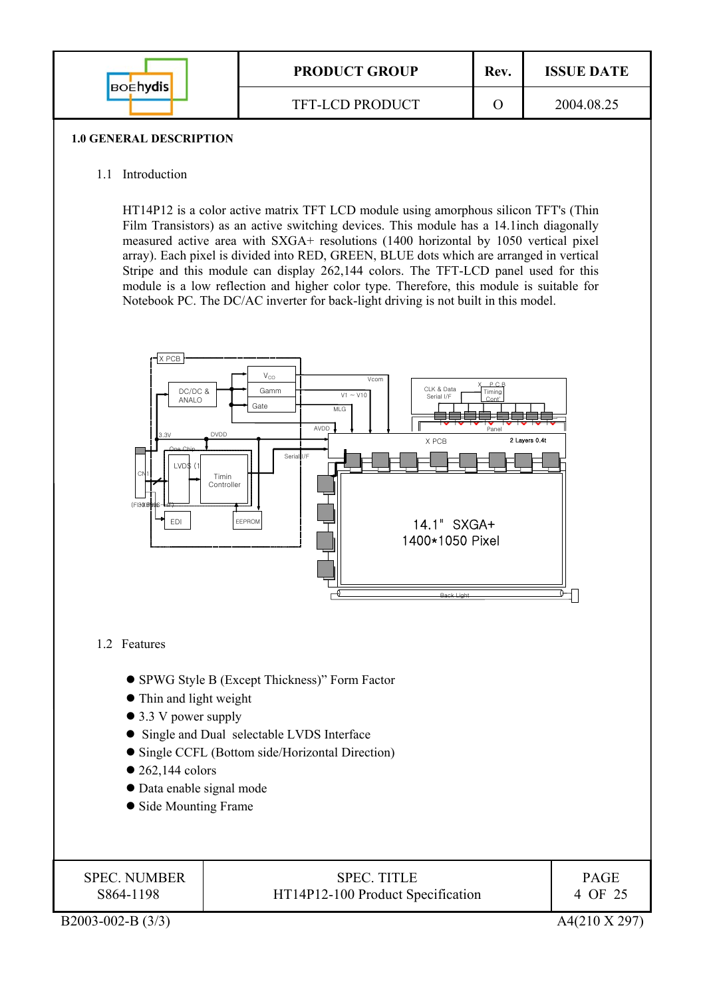| <b>BOEhydis</b> | <b>PRODUCT GROUP</b>   | Rev. | <b>ISSUE DATE</b> |
|-----------------|------------------------|------|-------------------|
|                 | <b>TFT-LCD PRODUCT</b> |      | 2004.08.25        |

#### **1.0 GENERAL DESCRIPTION**

#### 1.1 Introduction

HT14P12 is a color active matrix TFT LCD module using amorphous silicon TFT's (Thin Film Transistors) as an active switching devices. This module has a 14.1inch diagonally measured active area with SXGA+ resolutions (1400 horizontal by 1050 vertical pixel array). Each pixel is divided into RED, GREEN, BLUE dots which are arranged in vertical Stripe and this module can display 262,144 colors. The TFT-LCD panel used for this module is a low reflection and higher color type. Therefore, this module is suitable for Notebook PC. The DC/AC inverter for back-light driving is not built in this model.

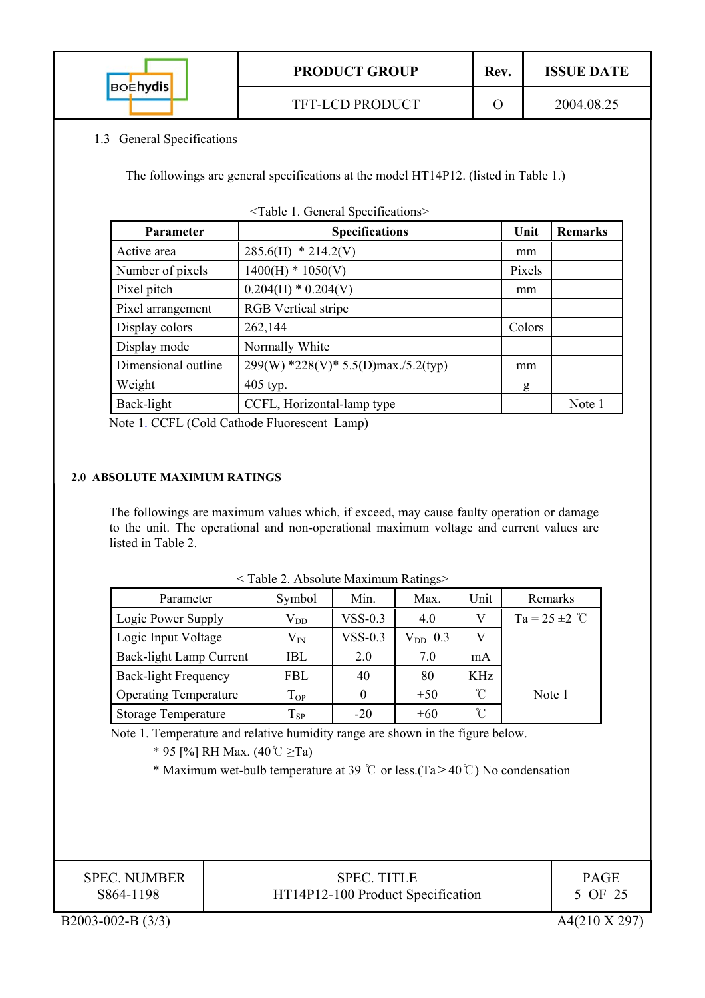| <b>BOEhydis</b> | <b>PRODUCT GROUP</b> | Rev. | <b>ISSUE DATE</b> |
|-----------------|----------------------|------|-------------------|
|                 | TFT-LCD PRODUCT      |      | 2004.08.25        |

## 1.3 General Specifications

The followings are general specifications at the model HT14P12. (listed in Table 1.)

| <b>Parameter</b>    | <b>Specifications</b>                 | Unit   | <b>Remarks</b> |
|---------------------|---------------------------------------|--------|----------------|
| Active area         | $285.6(H) * 214.2(V)$                 | mm     |                |
| Number of pixels    | $1400(H) * 1050(V)$                   | Pixels |                |
| Pixel pitch         | $0.204(H) * 0.204(V)$                 | mm     |                |
| Pixel arrangement   | <b>RGB</b> Vertical stripe            |        |                |
| Display colors      | 262,144                               | Colors |                |
| Display mode        | Normally White                        |        |                |
| Dimensional outline | $299(W)$ *228(V)* 5.5(D)max./5.2(typ) | mm     |                |
| Weight              | 405 typ.                              | g      |                |
| Back-light          | CCFL, Horizontal-lamp type            |        | Note 1         |

<Table 1. General Specifications>

Note 1. CCFL (Cold Cathode Fluorescent Lamp)

#### **2.0 ABSOLUTE MAXIMUM RATINGS**

The followings are maximum values which, if exceed, may cause faulty operation or damage to the unit. The operational and non-operational maximum voltage and current values are listed in Table 2.

| Parameter                    | Symbol       | Min.      | Max.         | Unit                | Remarks            |
|------------------------------|--------------|-----------|--------------|---------------------|--------------------|
| Logic Power Supply           | $\rm V_{DD}$ | $VSS-0.3$ | 4.0          |                     | $Ta = 25 \pm 2$ °C |
| Logic Input Voltage          | $\rm V_{IN}$ | $VSS-0.3$ | $V_{DD}+0.3$ |                     |                    |
| Back-light Lamp Current      | <b>IBL</b>   | 2.0       | 7.0          | mA                  |                    |
| <b>Back-light Frequency</b>  | FBL          | 40        | 80           | KHz                 |                    |
| <b>Operating Temperature</b> | $T_{OP}$     | $\theta$  | $+50$        | $\hat{\mathcal{C}}$ | Note 1             |
| <b>Storage Temperature</b>   | $T_{SP}$     | $-20$     | $+60$        | $\mathcal{C}$       |                    |

|  | $\le$ Table 2. Absolute Maximum Ratings $>$ |  |  |  |
|--|---------------------------------------------|--|--|--|
|--|---------------------------------------------|--|--|--|

Note 1. Temperature and relative humidity range are shown in the figure below.

\* 95  $[%]$  RH Max. (40 °C  $\geq$ Ta)

\* Maximum wet-bulb temperature at 39  $\degree$  or less.(Ta > 40 $\degree$ C) No condensation

SPEC. NUMBER S864-1198

SPEC. TITLE HT14P12-100 Product Specification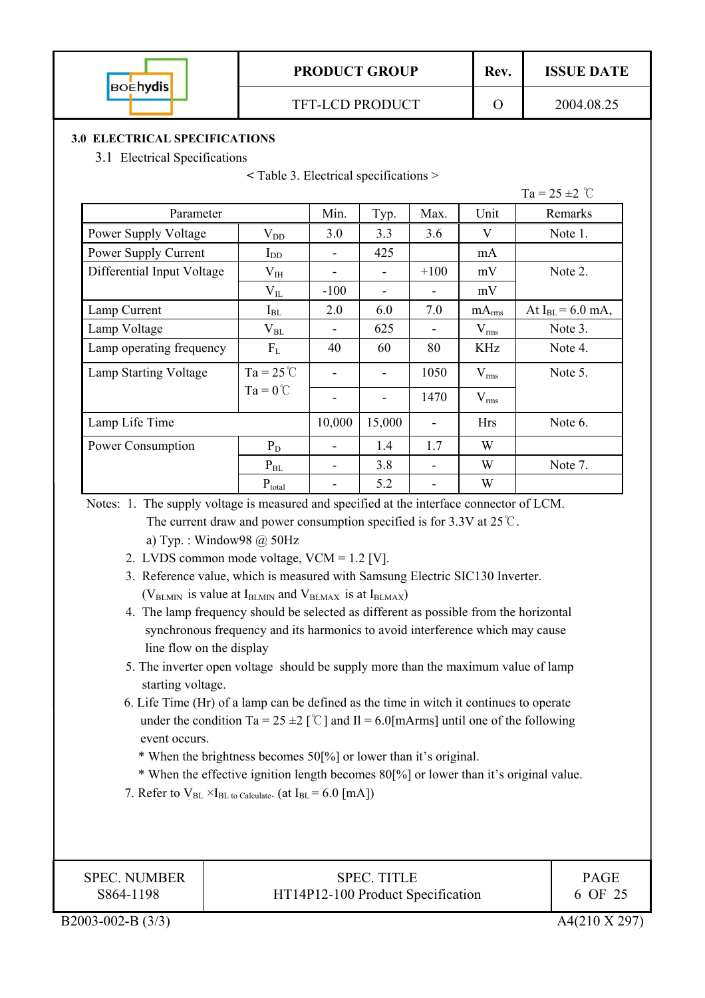

## **3.0 ELECTRICAL SPECIFICATIONS**

3.1 Electrical Specifications

 **<** Table 3. Electrical specifications >

|                              |                    |                              |                |        |                   | $Ta = 25 \pm 2$ °C    |
|------------------------------|--------------------|------------------------------|----------------|--------|-------------------|-----------------------|
| Parameter                    |                    | Min.                         | Typ.           | Max.   | Unit              | Remarks               |
| Power Supply Voltage         | $V_{DD}$           | 3.0                          | 3.3            | 3.6    | V                 | Note 1.               |
| Power Supply Current         | $I_{DD}$           |                              | 425            |        | mA                |                       |
| Differential Input Voltage   | $V_{IH}$           | -                            | $\blacksquare$ | $+100$ | mV                | Note 2.               |
|                              | $V_{IL}$           | $-100$                       | -              |        | mV                |                       |
| Lamp Current                 | $I_{BL}$           | 2.0                          | 6.0            | 7.0    | mA <sub>rms</sub> | At $I_{BL} = 6.0$ mA, |
| Lamp Voltage                 | $V_{BL}$           | $\qquad \qquad \blacksquare$ | 625            |        | $V_{\rm rms}$     | Note 3.               |
| Lamp operating frequency     | $F_L$              | 40                           | 60             | 80     | KHz               | Note 4.               |
| <b>Lamp Starting Voltage</b> | $Ta = 25^{\circ}C$ |                              |                | 1050   | $V_{rms}$         | Note $51$             |
|                              | $Ta = 0^{\circ}C$  |                              |                | 1470   | $V_{\rm rms}$     |                       |
| Lamp Life Time               |                    | 10,000                       | 15,000         |        | <b>Hrs</b>        | Note 6.               |
| Power Consumption            | $P_D$              |                              | 1.4            | 1.7    | W                 |                       |
|                              | $P_{BL}$           | $\overline{\phantom{a}}$     | 3.8            |        | W                 | Note 7.               |
|                              | $P_{total}$        |                              | 5.2            |        | W                 |                       |

 Notes: 1. The supply voltage is measured and specified at the interface connector of LCM. The current draw and power consumption specified is for  $3.3V$  at  $25^{\circ}$ . a) Typ. : Window98 @ 50Hz

- 2. LVDS common mode voltage, VCM = 1.2 [V].
- 3. Reference value, which is measured with Samsung Electric SIC130 Inverter. ( $V_{BLMIN}$  is value at I<sub>BLMIN</sub> and  $V_{BLMAX}$  is at I<sub>BLMAX</sub>)
- 4. The lamp frequency should be selected as different as possible from the horizontal synchronous frequency and its harmonics to avoid interference which may cause line flow on the display
- 5. The inverter open voltage should be supply more than the maximum value of lamp starting voltage.
- 6. Life Time (Hr) of a lamp can be defined as the time in witch it continues to operate under the condition Ta = 25  $\pm$ 2 [°C] and Il = 6.0[mArms] until one of the following event occurs.
	- \* When the brightness becomes 50[%] or lower than it's original.
	- \* When the effective ignition length becomes 80[%] or lower than it's original value.
- 7. Refer to  $V_{BL} \times I_{BL}$  to Calculate. (at  $I_{BL} = 6.0$  [mA])

SPEC. NUMBER S864-1198

SPEC. TITLE HT14P12-100 Product Specification

PAGE 6 OF 25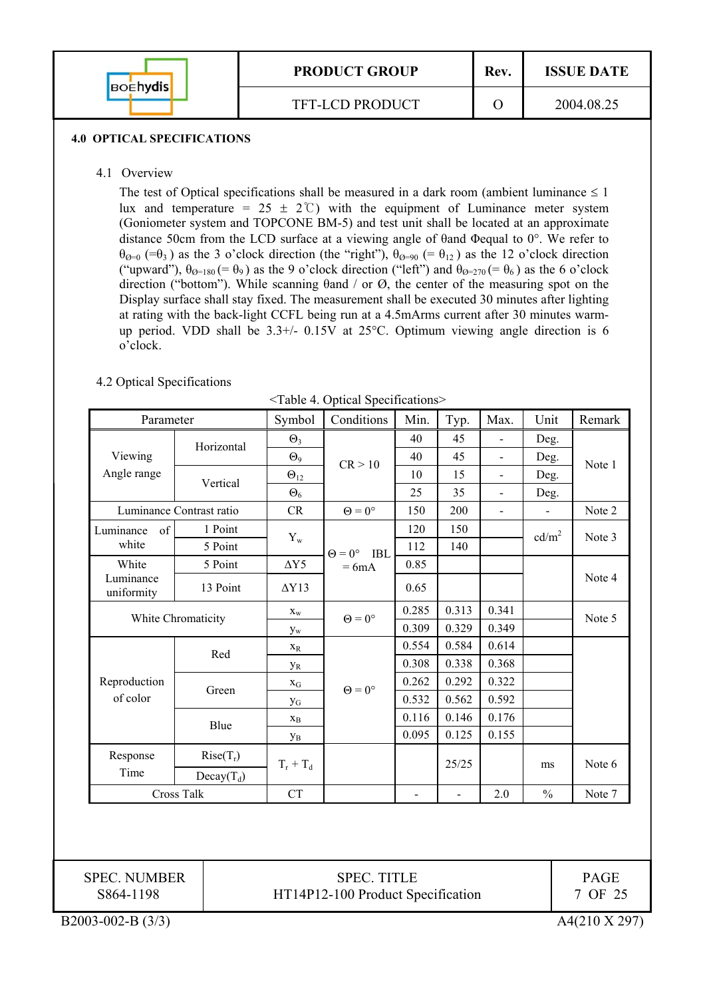|                 | <b>PRODUCT GROUP</b>   | Rev. | <b>ISSUE DATE</b> |
|-----------------|------------------------|------|-------------------|
| <b>BOENydis</b> | <b>TFT-LCD PRODUCT</b> |      | 2004.08.25        |

#### **4.0 OPTICAL SPECIFICATIONS**

#### 4.1 Overview

The test of Optical specifications shall be measured in a dark room (ambient luminance  $\leq 1$ ) lux and temperature =  $25 \pm 2\degree$  with the equipment of Luminance meter system (Goniometer system and TOPCONE BM-5) and test unit shall be located at an approximate distance 50cm from the LCD surface at a viewing angle of  $\theta$  and  $\Phi$ equal to  $0^\circ$ . We refer to  $\theta_{\alpha=0}$  (= $\theta_3$ ) as the 3 o'clock direction (the "right"),  $\theta_{\alpha=90}$  (=  $\theta_{12}$ ) as the 12 o'clock direction ("upward"),  $\theta_{\theta=180}$  (=  $\theta_9$ ) as the 9 o'clock direction ("left") and  $\theta_{\theta=270}$  (=  $\theta_6$ ) as the 6 o'clock direction ("bottom"). While scanning  $\theta$  and / or  $\varnothing$ , the center of the measuring spot on the Display surface shall stay fixed. The measurement shall be executed 30 minutes after lighting at rating with the back-light CCFL being run at a 4.5mArms current after 30 minutes warmup period. VDD shall be  $3.3+/$ - 0.15V at  $25^{\circ}$ C. Optimum viewing angle direction is 6 o'clock.

## 4.2 Optical Specifications

<Table 4. Optical Specifications>

|                          | Parameter    | Symbol                          | Conditions                    | Min.                     | Typ.           | Max.                     | Unit              | Remark |
|--------------------------|--------------|---------------------------------|-------------------------------|--------------------------|----------------|--------------------------|-------------------|--------|
|                          | Horizontal   | $\Theta$ <sub>3</sub>           |                               | 40                       | 45             | $\overline{\phantom{0}}$ | Deg.              | Note 1 |
| Viewing<br>Angle range   |              | $\Theta$ <sub>9</sub>           | CR > 10                       | 40                       | 45             |                          | Deg.              |        |
|                          | Vertical     | $\Theta_{12}$                   |                               | 10                       | 15             | $\blacksquare$           | Deg.              |        |
|                          |              | $\Theta_6$                      |                               | 25                       | 35             |                          | Deg.              |        |
| Luminance Contrast ratio |              | CR                              | $\Theta = 0^{\circ}$          | 150                      | 200            | $\frac{1}{2}$            | $\overline{a}$    | Note 2 |
| of<br>Luminance          | 1 Point      | $Y_{w}$                         |                               |                          | 150            |                          | cd/m <sup>2</sup> | Note 3 |
| white                    | 5 Point      |                                 | $\Theta = 0^{\circ}$ IBL      | 112                      | 140            |                          |                   |        |
| White                    | 5 Point      | $\Delta$ Y5                     | $= 6mA$                       | 0.85                     |                |                          |                   |        |
| Luminance<br>uniformity  | 13 Point     | $\Delta$ Y13                    |                               | 0.65                     |                |                          |                   | Note 4 |
| White Chromaticity       |              | $X_{W}$<br>$\Theta = 0^{\circ}$ |                               | 0.285                    | 0.313          | 0.341                    |                   | Note 5 |
|                          |              | $y_w$                           |                               | 0.309                    | 0.329          | 0.349                    |                   |        |
|                          | Red          | $X_R$                           |                               | 0.554                    | 0.584          | 0.614                    |                   |        |
|                          |              | <b>y</b> <sub>R</sub>           | $X_G$<br>$\Theta = 0^{\circ}$ | 0.308                    | 0.338          | 0.368                    |                   |        |
| Reproduction             | Green        |                                 |                               | 0.262                    | 0.292          | 0.322                    |                   |        |
| of color                 |              | $y_G$                           |                               | 0.532                    | 0.562          | 0.592                    |                   |        |
|                          | Blue         | $X_B$                           |                               | 0.116                    | 0.146          | 0.176                    |                   |        |
|                          |              | Ув                              |                               | 0.095                    | 0.125          | 0.155                    |                   |        |
| Response                 | $Rise(T_r)$  | $T_r + T_d$                     |                               |                          | 25/25          |                          | ms                | Note 6 |
| Time                     | $Decay(T_d)$ |                                 |                               |                          |                |                          |                   |        |
| Cross Talk               |              | <b>CT</b>                       |                               | $\overline{\phantom{a}}$ | $\overline{a}$ | 2.0                      | $\frac{0}{0}$     | Note 7 |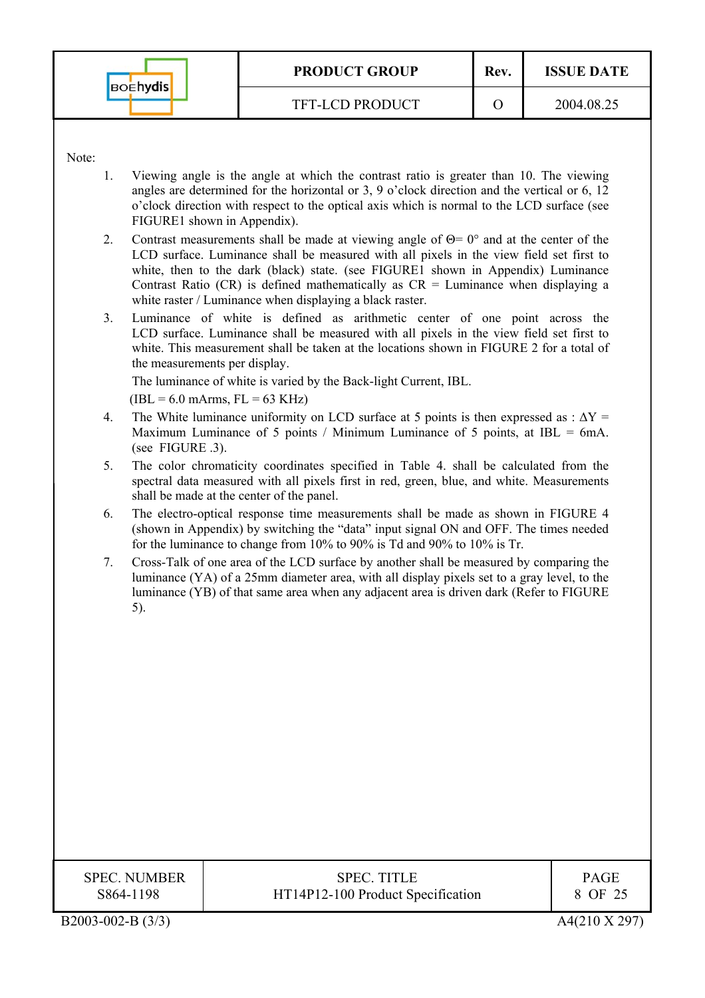|                 | <b>PRODUCT GROUP</b>   | Rev. | <b>ISSUE DATE</b> |
|-----------------|------------------------|------|-------------------|
| <b>BOEhydis</b> | <b>TFT-LCD PRODUCT</b> |      | 2004.08.25        |

Note:

- 1. Viewing angle is the angle at which the contrast ratio is greater than 10. The viewing angles are determined for the horizontal or 3, 9 o'clock direction and the vertical or 6, 12 o'clock direction with respect to the optical axis which is normal to the LCD surface (see FIGURE1 shown in Appendix).
- 2. Contrast measurements shall be made at viewing angle of  $\Theta = 0^{\circ}$  and at the center of the LCD surface. Luminance shall be measured with all pixels in the view field set first to white, then to the dark (black) state. (see FIGURE1 shown in Appendix) Luminance Contrast Ratio (CR) is defined mathematically as  $CR =$  Luminance when displaying a white raster / Luminance when displaying a black raster.
- 3. Luminance of white is defined as arithmetic center of one point across the LCD surface. Luminance shall be measured with all pixels in the view field set first to white. This measurement shall be taken at the locations shown in FIGURE 2 for a total of the measurements per display.

The luminance of white is varied by the Back-light Current, IBL.

 $(IBL = 6.0$  mArms,  $FL = 63$  KHz)

- 4. The White luminance uniformity on LCD surface at 5 points is then expressed as :  $\Delta Y =$ Maximum Luminance of 5 points / Minimum Luminance of 5 points, at IBL =  $6mA$ . (see FIGURE .3).
- 5. The color chromaticity coordinates specified in Table 4. shall be calculated from the spectral data measured with all pixels first in red, green, blue, and white. Measurements shall be made at the center of the panel.
- 6. The electro-optical response time measurements shall be made as shown in FIGURE 4 (shown in Appendix) by switching the "data" input signal ON and OFF. The times needed for the luminance to change from 10% to 90% is Td and 90% to 10% is Tr.
- 7. Cross-Talk of one area of the LCD surface by another shall be measured by comparing the luminance (YA) of a 25mm diameter area, with all display pixels set to a gray level, to the luminance (YB) of that same area when any adjacent area is driven dark (Refer to FIGURE 5).

| <b>SPEC. NUMBER</b> | <b>SPEC. TITLE</b>                | <b>PAGE</b> |
|---------------------|-----------------------------------|-------------|
| S864-1198           | HT14P12-100 Product Specification | 8 OF 25     |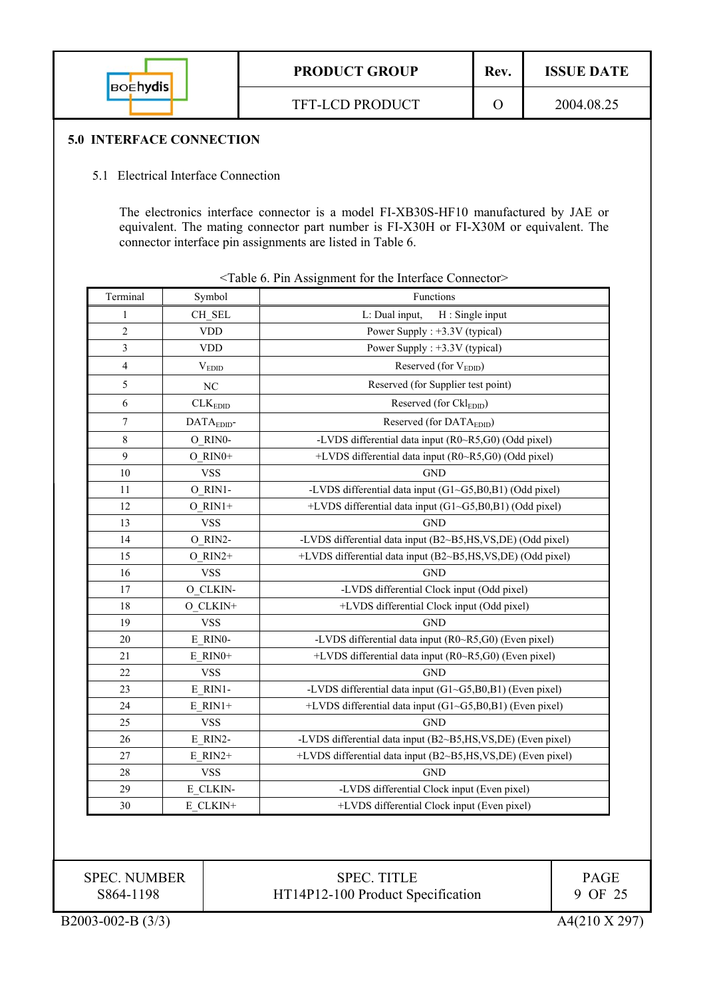|                 | <b>PRODUCT GROUP</b>   | Rev. | <b>ISSUE DATE</b> |
|-----------------|------------------------|------|-------------------|
| <b>BOEhydis</b> | <b>TFT-LCD PRODUCT</b> |      | 2004.08.25        |

#### **5.0 INTERFACE CONNECTION**

## 5.1 Electrical Interface Connection

The electronics interface connector is a model FI-XB30S-HF10 manufactured by JAE or equivalent. The mating connector part number is FI-X30H or FI-X30M or equivalent. The connector interface pin assignments are listed in Table 6.

| Terminal                | Symbol                 | Functions                                                   |  |
|-------------------------|------------------------|-------------------------------------------------------------|--|
| 1                       | CH SEL                 | L: Dual input,<br>H: Single input                           |  |
| $\overline{c}$          | <b>VDD</b>             | Power Supply : +3.3V (typical)                              |  |
| $\overline{\mathbf{3}}$ | <b>VDD</b>             | Power Supply : +3.3V (typical)                              |  |
| 4                       | $\rm V_{EDID}$         | Reserved (for V <sub>EDID</sub> )                           |  |
| 5                       | NC                     | Reserved (for Supplier test point)                          |  |
| 6                       | CLK <sub>EDID</sub>    | Reserved (for CklEDID)                                      |  |
| $\overline{7}$          | DATA <sub>EDID</sub> - | Reserved (for DATAEDID)                                     |  |
| 8                       | O RINO-                | -LVDS differential data input (R0~R5,G0) (Odd pixel)        |  |
| 9                       | $O$ RIN $0+$           | +LVDS differential data input (R0~R5,G0) (Odd pixel)        |  |
| 10                      | <b>VSS</b>             | <b>GND</b>                                                  |  |
| 11                      | O RIN1-                | -LVDS differential data input (G1~G5,B0,B1) (Odd pixel)     |  |
| 12                      | $O$ RIN1+              | +LVDS differential data input (G1~G5,B0,B1) (Odd pixel)     |  |
| 13                      | <b>VSS</b>             | <b>GND</b>                                                  |  |
| 14                      | O RIN2-                | -LVDS differential data input (B2~B5,HS,VS,DE) (Odd pixel)  |  |
| 15                      | $O$ RIN2+              | +LVDS differential data input (B2~B5,HS,VS,DE) (Odd pixel)  |  |
| 16                      | <b>VSS</b>             | <b>GND</b>                                                  |  |
| 17                      | O_CLKIN-               | -LVDS differential Clock input (Odd pixel)                  |  |
| 18                      | O CLKIN+               | +LVDS differential Clock input (Odd pixel)                  |  |
| 19                      | <b>VSS</b>             | <b>GND</b>                                                  |  |
| 20                      | E RINO-                | -LVDS differential data input (R0~R5,G0) (Even pixel)       |  |
| 21                      | $E$ RINO+              | +LVDS differential data input (R0~R5,G0) (Even pixel)       |  |
| 22                      | <b>VSS</b>             | <b>GND</b>                                                  |  |
| 23                      | E RIN1-                | -LVDS differential data input (G1~G5,B0,B1) (Even pixel)    |  |
| 24                      | $E$ RIN1+              | +LVDS differential data input (G1~G5,B0,B1) (Even pixel)    |  |
| 25                      | <b>VSS</b>             | <b>GND</b>                                                  |  |
| 26                      | E RIN2-                | -LVDS differential data input (B2~B5,HS,VS,DE) (Even pixel) |  |
| 27                      | $E$ RIN2+              | +LVDS differential data input (B2~B5,HS,VS,DE) (Even pixel) |  |
| 28                      | <b>VSS</b>             | <b>GND</b>                                                  |  |
| 29                      | E CLKIN-               | -LVDS differential Clock input (Even pixel)                 |  |
| 30                      | E CLKIN+               | +LVDS differential Clock input (Even pixel)                 |  |

SPEC. NUMBER S864-1198

SPEC. TITLE HT14P12-100 Product Specification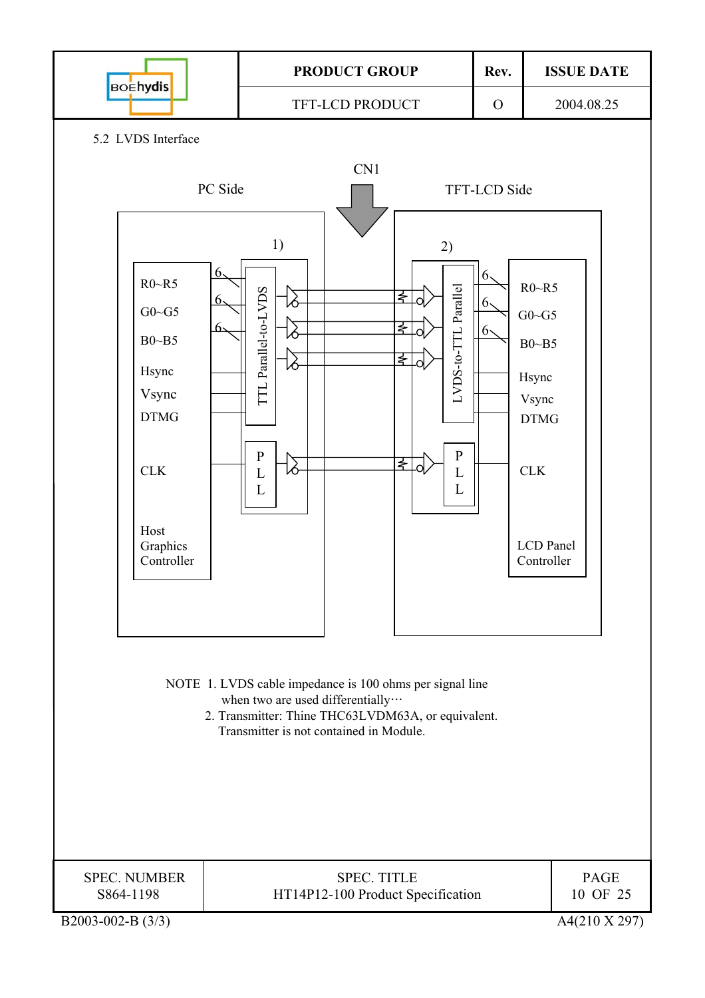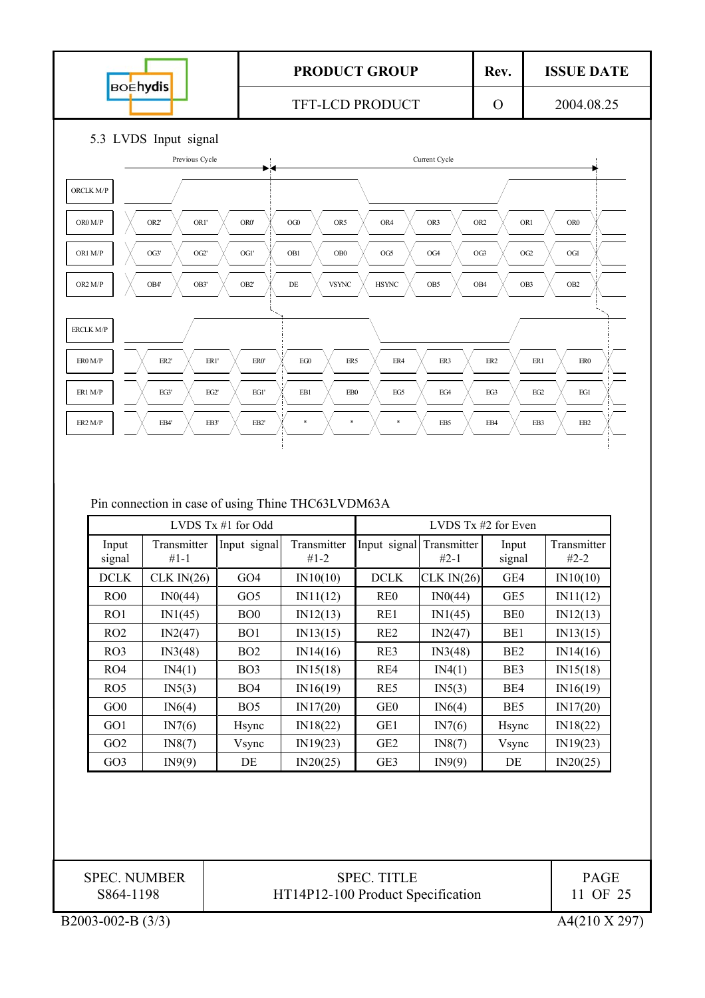

## Pin connection in case of using Thine THC63LVDM63A

|                 |                         | LVDS $Tx \#1$ for Odd |                         | LVDS $Tx \#2$ for Even |                                      |                 |                         |
|-----------------|-------------------------|-----------------------|-------------------------|------------------------|--------------------------------------|-----------------|-------------------------|
| Input<br>signal | Transmitter<br>$#1 - 1$ | Input signal          | Transmitter<br>$#1 - 2$ |                        | Input signal Transmitter<br>$#2 - 1$ | Input<br>signal | Transmitter<br>$#2 - 2$ |
| <b>DCLK</b>     | CLK IN(26)              | GO4                   | IN10(10)                | <b>DCLK</b>            | CLK $IN(26)$                         | GE4             | IN10(10)                |
| ROO             | IN0(44)                 | GO5                   | IN11(12)                | RE <sub>0</sub>        | IN0(44)                              | GE5             | IN11(12)                |
| RO1             | IN1(45)                 | B <sub>O</sub>        | IN12(13)                | RE1                    | IN1(45)                              | BE <sub>0</sub> | IN12(13)                |
| RO2             | IN2(47)                 | BO <sub>1</sub>       | IN13(15)                | RE <sub>2</sub>        | IN2(47)                              | BE1             | IN13(15)                |
| RO3             | IN3(48)                 | BO2                   | IN14(16)                | RE3                    | IN3(48)                              | BE <sub>2</sub> | IN14(16)                |
| RO4             | IN4(1)                  | BO3                   | IN15(18)                | RE4                    | IN4(1)                               | BE3             | IN15(18)                |
| RO5             | IN5(3)                  | <b>BO4</b>            | IN16(19)                | RE5                    | IN5(3)                               | BE4             | IN16(19)                |
| GO0             | IN6(4)                  | BO <sub>5</sub>       | IN17(20)                | GE <sub>0</sub>        | IN6(4)                               | BE <sub>5</sub> | IN17(20)                |
| GO <sub>1</sub> | IN7(6)                  | Hsync                 | IN18(22)                | GE1                    | IN7(6)                               | Hsync           | IN18(22)                |
| GO2             | IN8(7)                  | Vsync                 | IN19(23)                | GE <sub>2</sub>        | IN8(7)                               | Vsync           | IN19(23)                |
| GO <sub>3</sub> | IN9(9)                  | DE                    | IN20(25)                | GE <sub>3</sub>        | IN9(9)                               | DE              | IN20(25)                |

| <b>SPEC. NUMBER</b> | <b>SPEC. TITLE</b>                | <b>PAGE</b>              |
|---------------------|-----------------------------------|--------------------------|
| S864-1198           | HT14P12-100 Product Specification | 11 OF 25                 |
| $B2003-002-B(3/3)$  |                                   | $A4(210 \text{ X } 297)$ |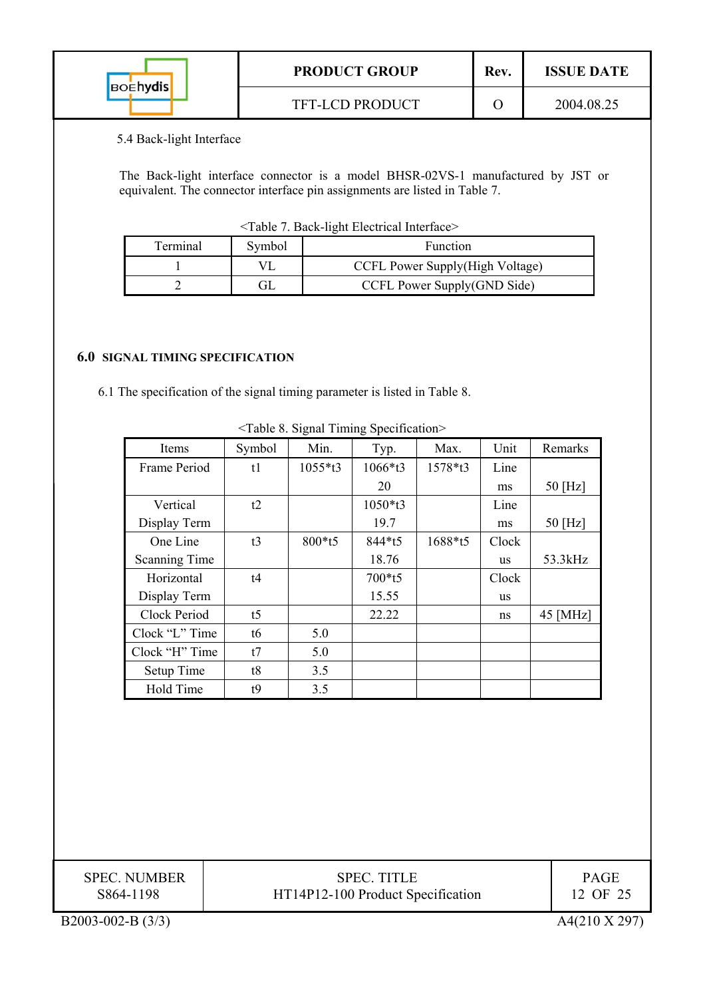| <b>BOEhydis</b> | <b>PRODUCT GROUP</b>   | Rev. | <b>ISSUE DATE</b> |
|-----------------|------------------------|------|-------------------|
|                 | <b>TFT-LCD PRODUCT</b> |      | 2004.08.25        |

# 5.4 Back-light Interface

The Back-light interface connector is a model BHSR-02VS-1 manufactured by JST or equivalent. The connector interface pin assignments are listed in Table 7.

| Terminal | Symbol | Function                        |  |
|----------|--------|---------------------------------|--|
|          |        | CCFL Power Supply(High Voltage) |  |
|          | ʻil.   | CCFL Power Supply(GND Side)     |  |

|  | <table 7.="" back-light="" electrical="" interface=""></table> |  |  |
|--|----------------------------------------------------------------|--|--|
|--|----------------------------------------------------------------|--|--|

## **6.0 SIGNAL TIMING SPECIFICATION**

6.1 The specification of the signal timing parameter is listed in Table 8.

| Items                | Symbol | Min.    | Typ.               | Max.    | Unit  | Remarks  |
|----------------------|--------|---------|--------------------|---------|-------|----------|
| Frame Period         | t1     | 1055*t3 | 1066*t3            | 1578*t3 | Line  |          |
|                      |        |         | 20                 |         | ms    | 50 [Hz]  |
| Vertical             | t2     |         | 1050*t3            |         | Line  |          |
| Display Term         |        |         | 19.7               |         | ms    | 50 [Hz]  |
| One Line             | t3     | 800*t5  | 844*t5             | 1688*t5 | Clock |          |
| <b>Scanning Time</b> |        |         | 18.76              |         | us    | 53.3kHz  |
| Horizontal           | t4     |         | 700*t5             |         | Clock |          |
| Display Term         |        |         | 15.55              |         | us    |          |
| Clock Period         | t5     |         | 22.22              |         | ns    | 45 [MHz] |
| Clock "L" Time       | t6     | 5.0     |                    |         |       |          |
| Clock "H" Time       | t7     | 5.0     |                    |         |       |          |
| Setup Time           | t8     | 3.5     |                    |         |       |          |
| Hold Time            | t9     | 3.5     |                    |         |       |          |
|                      |        |         |                    |         |       |          |
| <b>SPEC. NUMBER</b>  |        |         | <b>SPEC. TITLE</b> |         |       | PAGE     |

HT14P12-100 Product Specification

<Table 8. Signal Timing Specification>

S864-1198

B2003-002-B (3/3) A4(210 X 297)

12 OF 25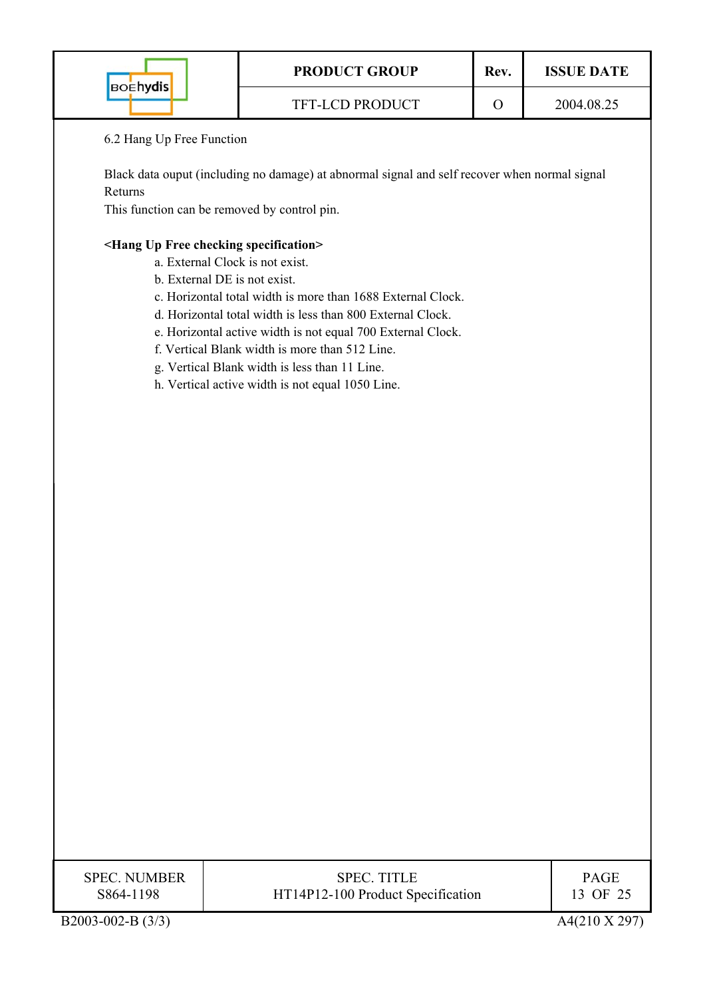| <b>BOEhydis</b> | <b>PRODUCT GROUP</b>   | Rev. | <b>ISSUE DATE</b> |
|-----------------|------------------------|------|-------------------|
|                 | <b>TFT-LCD PRODUCT</b> |      | 2004.08.25        |

# 6.2 Hang Up Free Function

 Black data ouput (including no damage) at abnormal signal and self recover when normal signal Returns

This function can be removed by control pin.

### **<Hang Up Free checking specification>**

- a. External Clock is not exist.
- b. External DE is not exist.
- c. Horizontal total width is more than 1688 External Clock.
- d. Horizontal total width is less than 800 External Clock.
- e. Horizontal active width is not equal 700 External Clock.
- f. Vertical Blank width is more than 512 Line.
- g. Vertical Blank width is less than 11 Line.
- h. Vertical active width is not equal 1050 Line.

| <b>SPEC. NUMBER</b> |
|---------------------|
| S864-1198           |

PAGE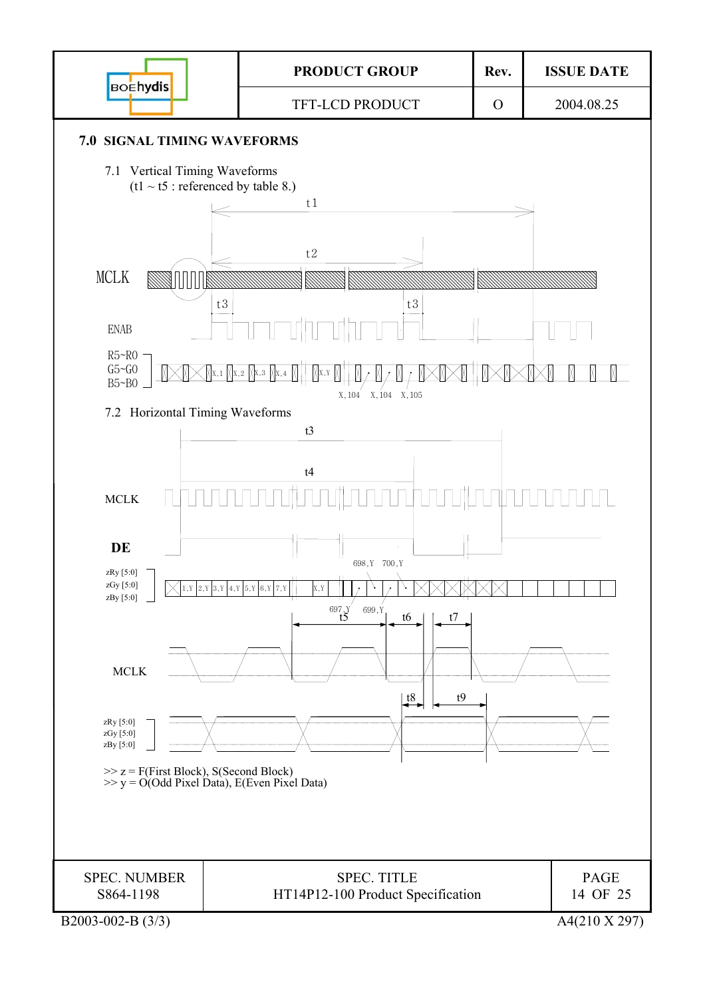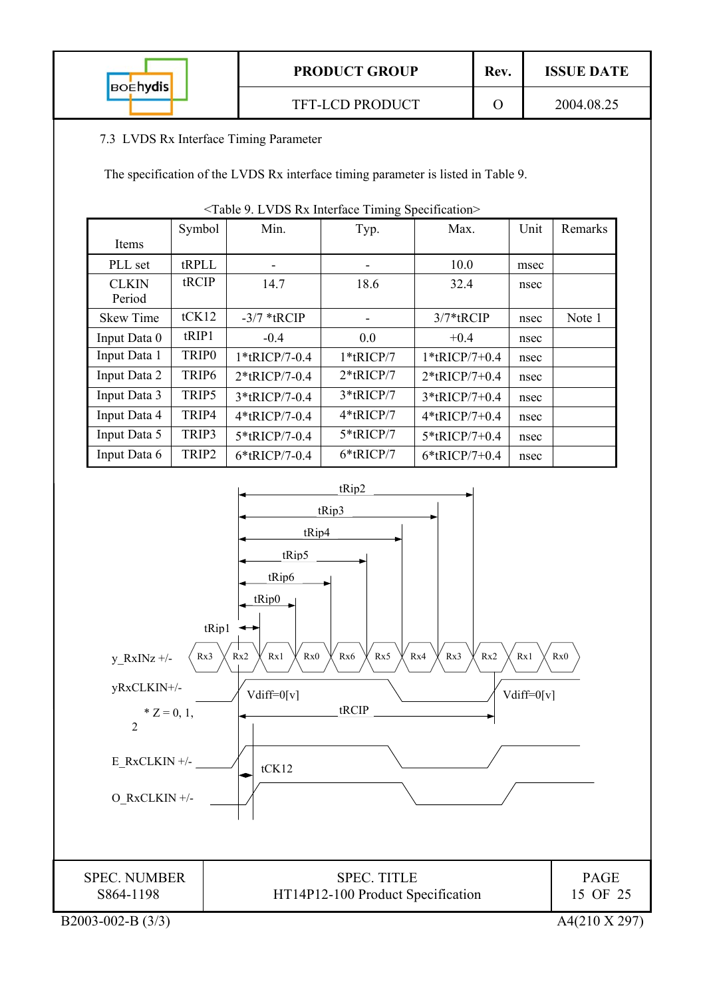| <b>BOEhydis</b> | <b>PRODUCT GROUP</b>   | Rev. | <b>ISSUE DATE</b> |
|-----------------|------------------------|------|-------------------|
|                 | <b>TFT-LCD PRODUCT</b> |      | 2004.08.25        |

# 7.3 LVDS Rx Interface Timing Parameter

The specification of the LVDS Rx interface timing parameter is listed in Table 9.

| Items                  | Symbol            | Min.          | $\frac{1}{2}$<br>Typ. | Max.             | Unit | Remarks |
|------------------------|-------------------|---------------|-----------------------|------------------|------|---------|
| PLL set                | tRPLL             |               |                       | 10.0             | msec |         |
| <b>CLKIN</b><br>Period | tRCIP             | 14.7          | 18.6                  | 32.4             | nsec |         |
| <b>Skew Time</b>       | tCK12             | $-3/7$ *tRCIP |                       | $3/7*$ t $RCIP$  | nsec | Note 1  |
| Input Data 0           | tRIP1             | $-0.4$        | 0.0                   | $+0.4$           | nsec |         |
| Input Data 1           | TRIP <sub>0</sub> | 1*tRICP/7-0.4 | $1*$ tRICP/7          | $1*$ tRICP/7+0.4 | nsec |         |
| Input Data 2           | TRIP <sub>6</sub> | 2*tRICP/7-0.4 | $2*$ tRICP/7          | $2*$ tRICP/7+0.4 | nsec |         |
| Input Data 3           | TRIP5             | 3*tRICP/7-0.4 | 3*tRICP/7             | $3*$ tRICP/7+0.4 | nsec |         |
| Input Data 4           | TRIP4             | 4*tRICP/7-0.4 | 4*tRICP/7             | $4*$ tRICP/7+0.4 | nsec |         |
| Input Data 5           | TRIP3             | 5*tRICP/7-0.4 | 5*tRICP/7             | $5*$ tRICP/7+0.4 | nsec |         |
| Input Data 6           | TRIP2             | 6*tRICP/7-0.4 | 6*tRICP/7             | $6*$ tRICP/7+0.4 | nsec |         |



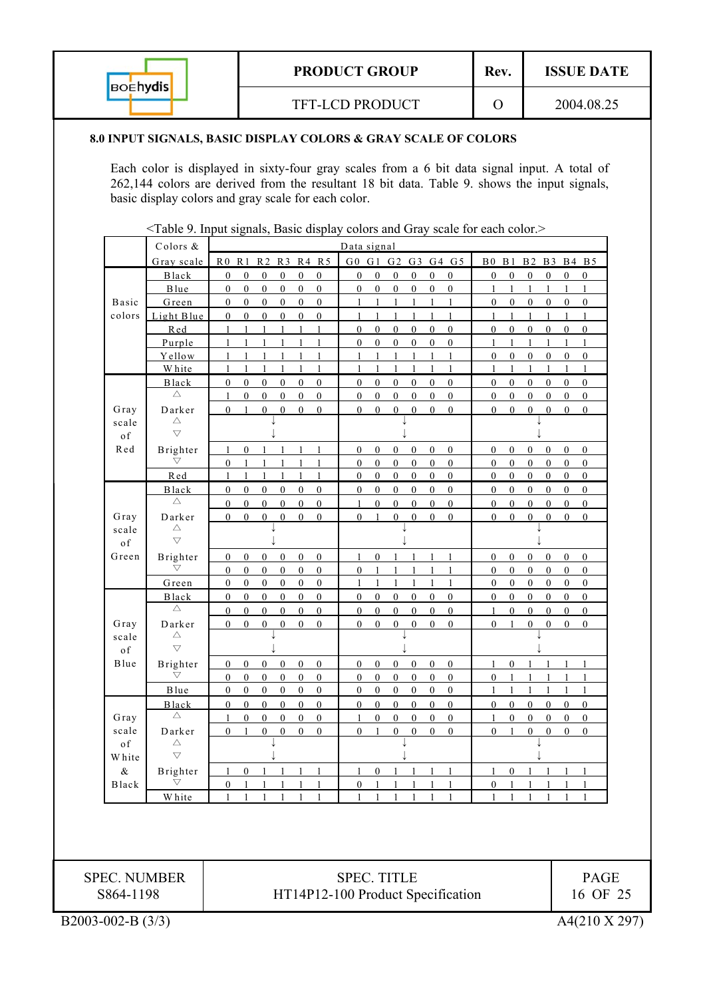| <b>BOEhydis</b> | <b>PRODUCT GROUP</b>   | Rev. | <b>ISSUE DATE</b> |
|-----------------|------------------------|------|-------------------|
|                 | <b>TFT-LCD PRODUCT</b> |      | 2004.08.25        |

#### **8.0 INPUT SIGNALS, BASIC DISPLAY COLORS & GRAY SCALE OF COLORS**

Each color is displayed in sixty-four gray scales from a 6 bit data signal input. A total of 262,144 colors are derived from the resultant 18 bit data. Table 9. shows the input signals, basic display colors and gray scale for each color.

|                   | Colors &                       |                              |                              |                              |                              |                  |                              | Data signal                  |                              |                                    |                                  |                                  |                                  |                              |                                  |                              |                                |                                  |                                  |
|-------------------|--------------------------------|------------------------------|------------------------------|------------------------------|------------------------------|------------------|------------------------------|------------------------------|------------------------------|------------------------------------|----------------------------------|----------------------------------|----------------------------------|------------------------------|----------------------------------|------------------------------|--------------------------------|----------------------------------|----------------------------------|
|                   | Gray scale                     | R <sub>0</sub>               | R <sub>1</sub>               | R <sub>2</sub>               | R3                           |                  | R4 R5                        | $G0$ $G1$                    |                              | G <sub>2</sub>                     | G3                               |                                  | G4 G5                            | B0                           | <b>B</b> 1                       | <b>B2</b>                    | B <sub>3</sub>                 | B4                               | <b>B5</b>                        |
|                   | Black                          | $\boldsymbol{0}$             | $\boldsymbol{0}$             | $\boldsymbol{0}$             | $\boldsymbol{0}$             | $\boldsymbol{0}$ | $\boldsymbol{0}$             | $\boldsymbol{0}$             | $\boldsymbol{0}$             | $\boldsymbol{0}$                   | $\boldsymbol{0}$                 | $\mathbf{0}$                     | $\mathbf{0}$                     | $\mathbf{0}$                 | $\boldsymbol{0}$                 | $\boldsymbol{0}$             | $\boldsymbol{0}$               | $\boldsymbol{0}$                 | $\boldsymbol{0}$                 |
|                   | Blue                           | $\boldsymbol{0}$             | $\boldsymbol{0}$             | $\boldsymbol{0}$             | $\boldsymbol{0}$             | $\boldsymbol{0}$ | $\boldsymbol{0}$             | $\boldsymbol{0}$             | $\boldsymbol{0}$             | $\boldsymbol{0}$                   | $\mathbf{0}$                     | $\boldsymbol{0}$                 | $\boldsymbol{0}$                 | 1                            | 1                                | 1                            | 1                              | 1                                | 1                                |
| Basic             | Green                          | $\theta$                     | $\Omega$                     | $\theta$                     | $\theta$                     | $\mathbf{0}$     | $\mathbf{0}$                 | 1                            | $\mathbf{1}$                 | $\mathbf{1}$                       | 1                                | $\mathbf{1}$                     | $\mathbf{1}$                     | $\Omega$                     | $\theta$                         | $\theta$                     | $\theta$                       | $\theta$                         | $\theta$                         |
| colors            | Light Blue                     | $\theta$                     | $\theta$                     | $\mathbf{0}$                 | $\mathbf{0}$                 | $\overline{0}$   | $\mathbf{0}$                 | 1                            | 1                            | 1                                  | 1                                | 1                                | $\mathbf{1}$                     | 1                            | 1                                | 1                            | 1                              | 1                                | 1                                |
|                   | Red                            | $\mathbf{1}$                 | 1                            | 1                            | $\mathbf{1}$                 | 1                | $\mathbf{1}$                 | $\theta$                     | $\theta$                     | $\theta$                           | $\overline{0}$                   | $\boldsymbol{0}$                 | $\boldsymbol{0}$                 | $\mathbf{0}$                 | $\theta$                         | $\theta$                     | $\overline{0}$                 | $\theta$                         | $\theta$                         |
|                   | Purple                         | $\mathbf{1}$                 | $\mathbf{1}$                 | $\mathbf{1}$                 | $\mathbf{1}$                 | 1                | $\mathbf{1}$                 | $\overline{0}$               | $\boldsymbol{0}$             | $\overline{0}$                     | $\overline{0}$                   | $\boldsymbol{0}$                 | $\overline{0}$                   | $\mathbf{1}$                 | $\mathbf{1}$                     | $\mathbf{1}$                 | $\mathbf{1}$                   | $\mathbf{1}$                     | $\mathbf{1}$                     |
|                   | Yellow                         | $\mathbf{1}$                 | $\mathbf{1}$                 | 1                            | $\mathbf{1}$                 | 1                | $\mathbf{1}$                 | $\mathbf{1}$                 | $\mathbf{1}$                 | $\mathbf{1}$                       | $\mathbf{1}$                     | $\mathbf{1}$                     | $\mathbf{1}$                     | $\mathbf{0}$                 | $\boldsymbol{0}$                 | $\overline{0}$               | $\mathbf{0}$                   | $\mathbf{0}$                     | $\mathbf{0}$                     |
|                   | W hite                         | 1                            | 1                            | 1                            | 1                            | 1                | 1                            | 1                            | 1                            | $\mathbf{1}$                       | 1                                | 1                                | $\mathbf{1}$                     | 1                            | 1                                | 1                            | 1                              | 1                                | 1                                |
|                   | Black                          | $\mathbf{0}$                 | $\theta$                     | $\mathbf{0}$                 | $\mathbf{0}$                 | 0                | $\mathbf{0}$                 | $\overline{0}$               | $\mathbf{0}$                 | $\overline{0}$                     | $\overline{0}$                   | $\mathbf{0}$                     | $\overline{0}$                   | $\mathbf{0}$                 | $\overline{0}$                   | $\mathbf{0}$                 | $\mathbf{0}$                   | $\mathbf{0}$                     | $\theta$                         |
|                   | Δ                              | $\mathbf{1}$                 | $\theta$                     | $\overline{0}$               | $\mathbf{0}$                 | $\overline{0}$   | $\mathbf{0}$                 | $\mathbf{0}$                 | $\theta$                     | $\boldsymbol{0}$                   | $\theta$                         | $\boldsymbol{0}$                 | $\mathbf{0}$                     | $\mathbf{0}$                 | $\mathbf{0}$                     | $\theta$                     | $\theta$                       | $\mathbf{0}$                     | $\theta$                         |
| Gray              | Darker                         | $\mathbf{0}$                 | 1                            | $\overline{0}$               | $\overline{0}$               | $\overline{0}$   | $\mathbf{0}$                 | $\overline{0}$               | $\mathbf{0}$                 | $\mathbf{0}$                       | $\mathbf{0}$                     | $\theta$                         | $\mathbf{0}$                     | $\mathbf{0}$                 | $\overline{0}$                   | $\mathbf{0}$                 | $\mathbf{0}$                   | $\mathbf{0}$                     | $\mathbf{0}$                     |
| scale             | $\triangle$<br>$\triangledown$ |                              |                              |                              |                              |                  |                              |                              |                              |                                    |                                  |                                  |                                  |                              |                                  |                              |                                |                                  |                                  |
| o f               |                                |                              |                              |                              |                              |                  |                              |                              |                              |                                    |                                  |                                  |                                  |                              |                                  |                              |                                |                                  |                                  |
| Red               | Brighter<br>▽                  | $\mathbf{1}$                 | $\mathbf{0}$<br>$\mathbf{1}$ | $\mathbf{1}$<br>$\mathbf{1}$ | $\mathbf{1}$<br>$\mathbf{1}$ | 1<br>1           | $\mathbf{1}$<br>$\mathbf{1}$ | $\mathbf{0}$<br>$\mathbf{0}$ | $\mathbf{0}$<br>$\mathbf{0}$ | $\boldsymbol{0}$<br>$\overline{0}$ | $\boldsymbol{0}$<br>$\mathbf{0}$ | $\boldsymbol{0}$<br>$\mathbf{0}$ | $\mathbf{0}$<br>$\boldsymbol{0}$ | $\mathbf{0}$<br>$\mathbf{0}$ | $\boldsymbol{0}$<br>$\mathbf{0}$ | $\mathbf{0}$<br>$\mathbf{0}$ | $\overline{0}$<br>$\mathbf{0}$ | $\boldsymbol{0}$<br>$\mathbf{0}$ | $\mathbf{0}$<br>$\boldsymbol{0}$ |
|                   | Red                            | $\mathbf{0}$<br>$\mathbf{1}$ | 1                            | 1                            | $\mathbf{1}$                 | 1                | $\mathbf{1}$                 | $\boldsymbol{0}$             | $\boldsymbol{0}$             | $\mathbf{0}$                       | $\boldsymbol{0}$                 | $\boldsymbol{0}$                 | $\mathbf{0}$                     | $\mathbf{0}$                 | $\boldsymbol{0}$                 | $\boldsymbol{0}$             | $\boldsymbol{0}$               | $\boldsymbol{0}$                 | $\boldsymbol{0}$                 |
|                   | Black                          | $\overline{0}$               | $\mathbf{0}$                 | $\boldsymbol{0}$             | $\boldsymbol{0}$             | $\mathbf{0}$     | $\boldsymbol{0}$             | $\mathbf{0}$                 | $\mathbf{0}$                 | $\boldsymbol{0}$                   | $\boldsymbol{0}$                 | $\mathbf{0}$                     | $\overline{0}$                   | $\mathbf{0}$                 | $\overline{0}$                   | $\mathbf{0}$                 | $\overline{0}$                 | $\boldsymbol{0}$                 | $\mathbf{0}$                     |
|                   | Δ                              | $\mathbf{0}$                 | $\mathbf{0}$                 | $\overline{0}$               | $\mathbf{0}$                 | $\overline{0}$   | $\mathbf{0}$                 | 1                            | $\mathbf{0}$                 | $\overline{0}$                     | $\mathbf{0}$                     | $\mathbf{0}$                     | $\mathbf{0}$                     | $\mathbf{0}$                 | $\overline{0}$                   | $\mathbf{0}$                 | $\mathbf{0}$                   | $\overline{0}$                   | $\mathbf{0}$                     |
| Gray              | Darker                         | $\overline{0}$               | $\overline{0}$               | $\overline{0}$               | $\mathbf{0}$                 | $\boldsymbol{0}$ | $\mathbf{0}$                 | $\overline{0}$               | $\mathbf{1}$                 | $\overline{0}$                     | $\mathbf{0}$                     | $\mathbf{0}$                     | $\mathbf{0}$                     | $\mathbf{0}$                 | $\overline{0}$                   | $\boldsymbol{0}$             | $\mathbf{0}$                   | $\mathbf{0}$                     | $\mathbf{0}$                     |
| scale             | $\triangle$                    |                              |                              |                              |                              |                  |                              |                              |                              |                                    |                                  |                                  |                                  |                              |                                  |                              |                                |                                  |                                  |
| of                | $\triangledown$                |                              |                              |                              |                              |                  |                              |                              |                              |                                    |                                  |                                  |                                  |                              |                                  |                              |                                |                                  |                                  |
| Green             | Brighter                       | $\theta$                     | $\theta$                     | $\mathbf{0}$                 | $\mathbf{0}$                 | $\overline{0}$   | $\mathbf{0}$                 |                              | $\theta$                     |                                    |                                  |                                  |                                  | $\mathbf{0}$                 | $\mathbf{0}$                     | $\mathbf{0}$                 | $\overline{0}$                 | $\mathbf{0}$                     | $\mathbf{0}$                     |
|                   | ▽                              | $\mathbf{0}$                 | $\mathbf{0}$                 | $\boldsymbol{0}$             | $\overline{0}$               | $\boldsymbol{0}$ | $\mathbf{0}$                 | $\mathbf{0}$                 | $\mathbf{1}$                 | $\mathbf{1}$                       | $\mathbf{1}$                     | $\mathbf{1}$                     | $\mathbf{1}$                     | $\mathbf{0}$                 | $\overline{0}$                   | $\boldsymbol{0}$             | $\mathbf{0}$                   | $\overline{0}$                   | $\boldsymbol{0}$                 |
|                   | Green                          | $\mathbf{0}$                 | $\mathbf{0}$                 | $\boldsymbol{0}$             | $\boldsymbol{0}$             | $\overline{0}$   | $\boldsymbol{0}$             | $\mathbf{1}$                 | $\mathbf{1}$                 | $\mathbf{1}$                       | $\mathbf{1}$                     | $\mathbf{1}$                     | $\mathbf{1}$                     | $\mathbf{0}$                 | $\boldsymbol{0}$                 | $\boldsymbol{0}$             | $\mathbf{0}$                   | $\boldsymbol{0}$                 | $\boldsymbol{0}$                 |
|                   | Black                          | $\mathbf{0}$                 | $\theta$                     | $\mathbf{0}$                 | $\mathbf{0}$                 | $\mathbf{0}$     | $\mathbf{0}$                 | $\mathbf{0}$                 | $\theta$                     | $\mathbf{0}$                       | $\mathbf{0}$                     | $\mathbf{0}$                     | $\mathbf{0}$                     | $\theta$                     | $\overline{0}$                   | $\overline{0}$               | $\mathbf{0}$                   | $\overline{0}$                   | $\theta$                         |
|                   | $\triangle$                    | $\mathbf{0}$                 | $\mathbf{0}$                 | $\mathbf{0}$                 | $\mathbf{0}$                 | $\overline{0}$   | $\boldsymbol{0}$             | $\boldsymbol{0}$             | $\mathbf{0}$                 | $\overline{0}$                     | $\mathbf{0}$                     | $\mathbf{0}$                     | $\mathbf{0}$                     | $\mathbf{1}$                 | $\overline{0}$                   | $\mathbf{0}$                 | $\mathbf{0}$                   | $\mathbf{0}$                     | $\mathbf{0}$                     |
| Gray              | Darker                         | $\mathbf{0}$                 | $\overline{0}$               | $\overline{0}$               | $\mathbf{0}$                 | $\overline{0}$   | $\boldsymbol{0}$             | $\overline{0}$               | $\mathbf{0}$                 | $\overline{0}$                     | $\mathbf{0}$                     | $\theta$                         | $\mathbf{0}$                     | $\mathbf{0}$                 | $\mathbf{1}$                     | $\Omega$                     | $\theta$                       | $\mathbf{0}$                     | $\overline{0}$                   |
| scale             | $\triangle$                    |                              |                              |                              |                              |                  |                              |                              |                              |                                    |                                  |                                  |                                  |                              |                                  |                              |                                |                                  |                                  |
| of                | $\triangledown$                |                              |                              |                              |                              |                  |                              |                              |                              |                                    |                                  |                                  |                                  |                              |                                  |                              |                                |                                  |                                  |
| Blue              | Brighter                       | $\overline{0}$               | $\mathbf{0}$                 | $\mathbf{0}$                 | $\mathbf{0}$                 | $\mathbf{0}$     | $\mathbf{0}$                 | $\mathbf{0}$                 | $\mathbf{0}$                 | $\overline{0}$                     | $\mathbf{0}$                     | $\mathbf{0}$                     | $\overline{0}$                   | 1                            | $\mathbf{0}$                     | 1                            | 1                              | 1                                |                                  |
|                   | $\bigtriangledown$             | $\mathbf{0}$                 | $\mathbf{0}$                 | $\mathbf{0}$                 | $\mathbf{0}$                 | $\overline{0}$   | $\boldsymbol{0}$             | $\overline{0}$               | $\mathbf{0}$                 | $\overline{0}$                     | $\mathbf{0}$                     | $\mathbf{0}$                     | $\boldsymbol{0}$                 | $\mathbf{0}$                 |                                  | 1                            | $\mathbf{1}$                   |                                  |                                  |
|                   | Blue                           | $\boldsymbol{0}$             | $\boldsymbol{0}$             | $\boldsymbol{0}$             | $\boldsymbol{0}$             | $\boldsymbol{0}$ | $\boldsymbol{0}$             | $\boldsymbol{0}$             | $\boldsymbol{0}$             | $\boldsymbol{0}$                   | $\boldsymbol{0}$                 | $\boldsymbol{0}$                 | $\boldsymbol{0}$                 | $\mathbf{1}$                 | $\mathbf{1}$                     | $\mathbf{1}$                 | $\mathbf{1}$                   | $\mathbf{1}$                     | $\mathbf{1}$                     |
|                   | Black                          | $\mathbf{0}$                 | $\mathbf{0}$                 | $\boldsymbol{0}$             | $\boldsymbol{0}$             | $\mathbf{0}$     | $\boldsymbol{0}$             | $\overline{0}$               | $\mathbf{0}$                 | $\mathbf{0}$                       | $\boldsymbol{0}$                 | $\mathbf{0}$                     | $\boldsymbol{0}$                 | $\mathbf{0}$                 | $\mathbf{0}$                     | $\boldsymbol{0}$             | $\mathbf{0}$                   | $\theta$                         | $\mathbf{0}$                     |
| Gray              | $\triangle$                    | $\mathbf{1}$                 | $\theta$                     | $\mathbf{0}$                 | $\mathbf{0}$                 | $\theta$         | $\mathbf{0}$                 | 1                            | $\theta$                     | $\overline{0}$                     | $\mathbf{0}$                     | $\mathbf{0}$                     | $\mathbf{0}$                     | $\mathbf{1}$                 | $\overline{0}$                   | $\mathbf{0}$                 | $\mathbf{0}$                   | $\mathbf{0}$                     | $\mathbf{0}$                     |
| scale             | Darker                         | $\overline{0}$               | 1                            | $\overline{0}$               | $\mathbf{0}$                 | $\theta$         | $\boldsymbol{0}$             | $\overline{0}$               | 1                            | $\overline{0}$                     | $\mathbf{0}$                     | $\mathbf{0}$                     | $\mathbf{0}$                     | $\mathbf{0}$                 | $\mathbf{1}$                     | $\mathbf{0}$                 | $\mathbf{0}$                   | $\mathbf{0}$                     | $\mathbf{0}$                     |
| <sub>of</sub>     | Δ<br>$\triangledown$           |                              |                              |                              |                              |                  |                              |                              |                              |                                    |                                  |                                  |                                  |                              |                                  |                              |                                |                                  |                                  |
| W hite            |                                |                              |                              |                              |                              |                  |                              |                              |                              |                                    |                                  |                                  |                                  |                              |                                  |                              |                                |                                  |                                  |
| $\&$              | Brighter<br>$\triangledown$    |                              | $\bf{0}$                     |                              |                              |                  |                              |                              | $\theta$                     |                                    |                                  |                                  |                                  |                              | 0                                |                              |                                |                                  |                                  |
| Black             | W hite                         | $\mathbf{0}$<br>1            | $\mathbf{1}$                 | 1                            | $\mathbf{1}$                 | 1                | 1                            | 0<br>1                       | $\mathbf{1}$                 | $\mathbf{1}$                       | 1                                | $\mathbf{1}$                     | 1                                | $\theta$<br>1                | $\mathbf{1}$                     | 1                            | 1                              | $\mathbf{1}$                     | 1                                |
|                   |                                |                              |                              |                              |                              |                  |                              |                              |                              |                                    |                                  |                                  |                                  |                              |                                  |                              |                                |                                  |                                  |
| <b>EC. NUMBER</b> |                                |                              |                              |                              |                              |                  |                              | <b>SPEC. TITLE</b>           |                              |                                    |                                  |                                  |                                  |                              |                                  |                              |                                |                                  | PAGI                             |

<Table 9. Input signals, Basic display colors and Gray scale for each color.>

SP<sub>1</sub> S864-1198

SPEC. TITLE HT14P12-100 Product Specification

 $\overline{E}$ 16 OF 25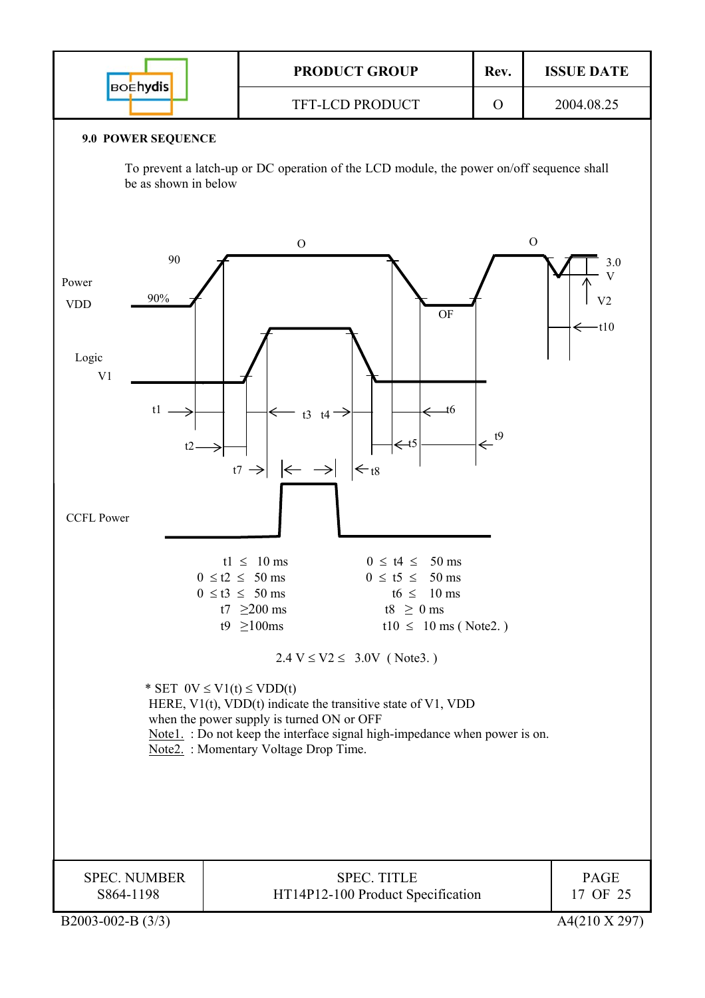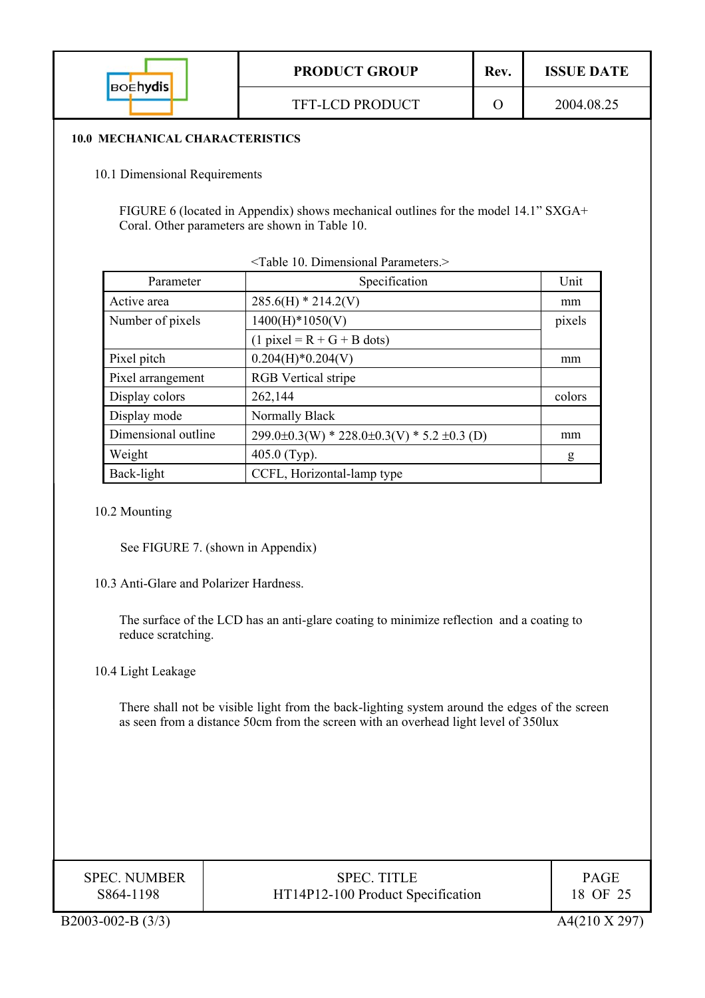| <b>BOENydis</b> | <b>PRODUCT GROUP</b>   | Rev. | <b>ISSUE DATE</b> |
|-----------------|------------------------|------|-------------------|
|                 | <b>TFT-LCD PRODUCT</b> |      | 2004.08.25        |

#### **10.0 MECHANICAL CHARACTERISTICS**

10.1 Dimensional Requirements

FIGURE 6 (located in Appendix) shows mechanical outlines for the model 14.1" SXGA+ Coral. Other parameters are shown in Table 10.

| Parameter           | Specification                                              | Unit   |
|---------------------|------------------------------------------------------------|--------|
| Active area         | $285.6(H) * 214.2(V)$                                      | mm     |
| Number of pixels    | $1400(H)*1050(V)$                                          | pixels |
|                     | $(1$ pixel = R + G + B dots)                               |        |
| Pixel pitch         | $0.204(H)*0.204(V)$                                        | mm     |
| Pixel arrangement   | <b>RGB</b> Vertical stripe                                 |        |
| Display colors      | 262,144                                                    | colors |
| Display mode        | Normally Black                                             |        |
| Dimensional outline | $299.0\pm0.3$ (W) * 228.0 $\pm$ 0.3(V) * 5.2 $\pm$ 0.3 (D) | mm     |
| Weight              | 405.0 (Typ).                                               | g      |
| Back-light          | CCFL, Horizontal-lamp type                                 |        |

#### 10.2 Mounting

See FIGURE 7. (shown in Appendix)

## 10.3 Anti-Glare and Polarizer Hardness.

The surface of the LCD has an anti-glare coating to minimize reflection and a coating to reduce scratching.

## 10.4 Light Leakage

There shall not be visible light from the back-lighting system around the edges of the screen as seen from a distance 50cm from the screen with an overhead light level of 350lux

| <b>SPEC. NUMBER</b> | <b>SPEC. TITLE</b>                | <b>PAGE</b> |
|---------------------|-----------------------------------|-------------|
| S864-1198           | HT14P12-100 Product Specification | 18 OF 25    |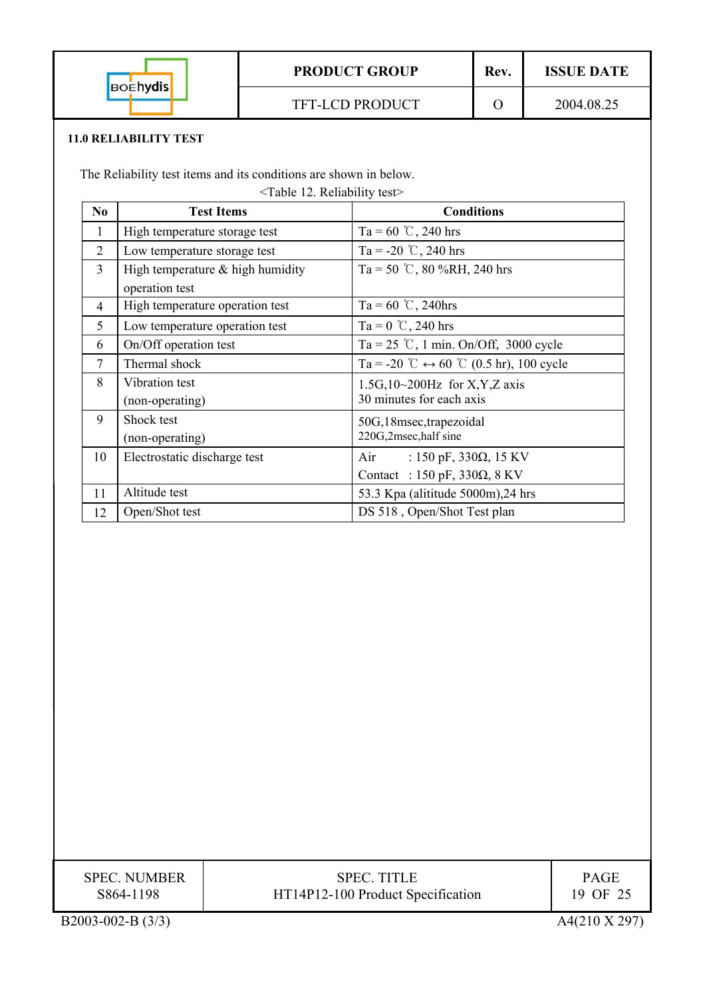

## **11.0 RELIABILITY TEST**

The Reliability test items and its conditions are shown in below.

|  | $\le$ Table 12. Reliability test $\ge$ |
|--|----------------------------------------|
|--|----------------------------------------|

| No             | <b>Test Items</b>                  | <b>Conditions</b>                                       |
|----------------|------------------------------------|---------------------------------------------------------|
| $\mathbf{1}$   | High temperature storage test      | Ta = 60 °C, 240 hrs                                     |
| $\overline{2}$ | Low temperature storage test       | Ta = -20 °C, 240 hrs                                    |
| 3              | High temperature $&$ high humidity | Ta = 50 °C, 80 %RH, 240 hrs                             |
|                | operation test                     |                                                         |
| 4              | High temperature operation test    | Ta = 60 °C, 240hrs                                      |
| 5              | Low temperature operation test     | Ta = $0^\circ$ C, 240 hrs                               |
| 6              | On/Off operation test              | Ta = 25 °C, 1 min. On/Off, 3000 cycle                   |
| 7              | Thermal shock                      | Ta = -20 °C $\leftrightarrow$ 60 °C (0.5 hr), 100 cycle |
| 8              | Vibration test                     | 1.5G, $10~200$ Hz for X, Y, Z axis                      |
|                | (non-operating)                    | 30 minutes for each axis                                |
| 9              | Shock test                         | 50G,18msec,trapezoidal                                  |
|                | (non-operating)                    | 220G,2msec,half sine                                    |
| 10             | Electrostatic discharge test       | Air<br>: 150 pF, 330 $\Omega$ , 15 KV                   |
|                |                                    | Contact : 150 pF, 330 $\Omega$ , 8 KV                   |
| 11             | Altitude test                      | 53.3 Kpa (alititude 5000m), 24 hrs                      |
| 12             | Open/Shot test                     | DS 518, Open/Shot Test plan                             |

| <b>SPEC. NUMBER</b> | <b>SPEC. TITLE</b>                | <b>PAGE</b> |
|---------------------|-----------------------------------|-------------|
| S864-1198           | HT14P12-100 Product Specification | 19 OF 25    |
|                     |                                   |             |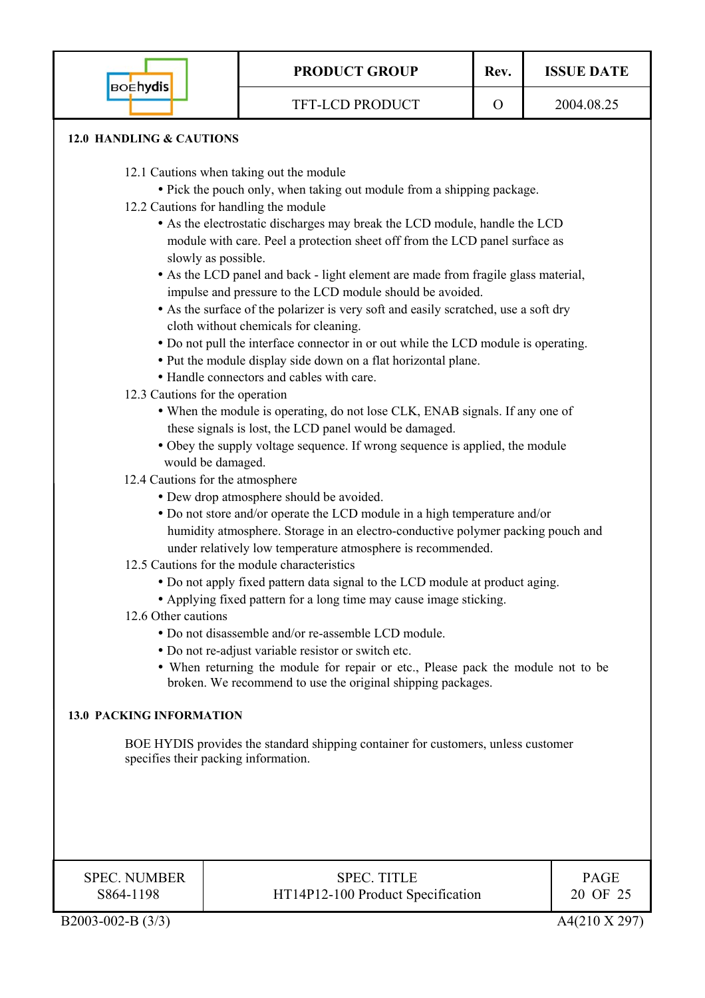|                                                                                                                                                                                                                   | <b>PRODUCT GROUP</b>                                                                                                                                                                                                                                                                                                                                                                                                                                                                                                                                                                                                                                                                                                                                                                                                                                                                                                                                                                                                                                                                                                                                                                                                                                                                                                                                                                                                                                                                                                                                                                                                                                                                                                                                                                                                                                                             | Rev.     | <b>ISSUE DATE</b>                        |
|-------------------------------------------------------------------------------------------------------------------------------------------------------------------------------------------------------------------|----------------------------------------------------------------------------------------------------------------------------------------------------------------------------------------------------------------------------------------------------------------------------------------------------------------------------------------------------------------------------------------------------------------------------------------------------------------------------------------------------------------------------------------------------------------------------------------------------------------------------------------------------------------------------------------------------------------------------------------------------------------------------------------------------------------------------------------------------------------------------------------------------------------------------------------------------------------------------------------------------------------------------------------------------------------------------------------------------------------------------------------------------------------------------------------------------------------------------------------------------------------------------------------------------------------------------------------------------------------------------------------------------------------------------------------------------------------------------------------------------------------------------------------------------------------------------------------------------------------------------------------------------------------------------------------------------------------------------------------------------------------------------------------------------------------------------------------------------------------------------------|----------|------------------------------------------|
| <b>BOEhydis</b>                                                                                                                                                                                                   | TFT-LCD PRODUCT                                                                                                                                                                                                                                                                                                                                                                                                                                                                                                                                                                                                                                                                                                                                                                                                                                                                                                                                                                                                                                                                                                                                                                                                                                                                                                                                                                                                                                                                                                                                                                                                                                                                                                                                                                                                                                                                  | $\Omega$ | 2004.08.25                               |
| 12.0 HANDLING & CAUTIONS                                                                                                                                                                                          |                                                                                                                                                                                                                                                                                                                                                                                                                                                                                                                                                                                                                                                                                                                                                                                                                                                                                                                                                                                                                                                                                                                                                                                                                                                                                                                                                                                                                                                                                                                                                                                                                                                                                                                                                                                                                                                                                  |          |                                          |
| slowly as possible.<br>12.3 Cautions for the operation<br>would be damaged.<br>12.4 Cautions for the atmosphere<br>12.6 Other cautions<br><b>13.0 PACKING INFORMATION</b><br>specifies their packing information. | 12.1 Cautions when taking out the module<br>• Pick the pouch only, when taking out module from a shipping package.<br>12.2 Cautions for handling the module<br>• As the electrostatic discharges may break the LCD module, handle the LCD<br>module with care. Peel a protection sheet off from the LCD panel surface as<br>• As the LCD panel and back - light element are made from fragile glass material,<br>impulse and pressure to the LCD module should be avoided.<br>• As the surface of the polarizer is very soft and easily scratched, use a soft dry<br>cloth without chemicals for cleaning.<br>• Do not pull the interface connector in or out while the LCD module is operating.<br>• Put the module display side down on a flat horizontal plane.<br>• Handle connectors and cables with care.<br>• When the module is operating, do not lose CLK, ENAB signals. If any one of<br>these signals is lost, the LCD panel would be damaged.<br>• Obey the supply voltage sequence. If wrong sequence is applied, the module<br>• Dew drop atmosphere should be avoided.<br>• Do not store and/or operate the LCD module in a high temperature and/or<br>humidity atmosphere. Storage in an electro-conductive polymer packing pouch and<br>under relatively low temperature atmosphere is recommended.<br>12.5 Cautions for the module characteristics<br>• Do not apply fixed pattern data signal to the LCD module at product aging.<br>• Applying fixed pattern for a long time may cause image sticking.<br>• Do not disassemble and/or re-assemble LCD module.<br>• Do not re-adjust variable resistor or switch etc.<br>• When returning the module for repair or etc., Please pack the module not to be<br>broken. We recommend to use the original shipping packages.<br>BOE HYDIS provides the standard shipping container for customers, unless customer |          |                                          |
| <b>SPEC. NUMBER</b><br>S864-1198<br>B2003-002-B (3/3)                                                                                                                                                             | <b>SPEC. TITLE</b><br>HT14P12-100 Product Specification                                                                                                                                                                                                                                                                                                                                                                                                                                                                                                                                                                                                                                                                                                                                                                                                                                                                                                                                                                                                                                                                                                                                                                                                                                                                                                                                                                                                                                                                                                                                                                                                                                                                                                                                                                                                                          |          | <b>PAGE</b><br>20 OF 25<br>A4(210 X 297) |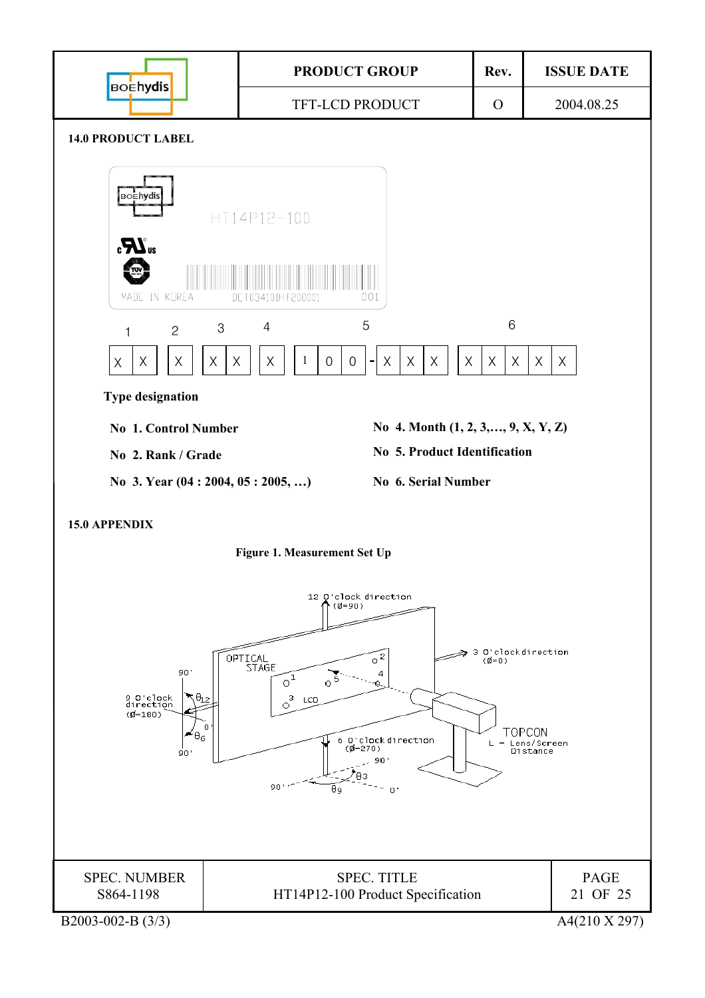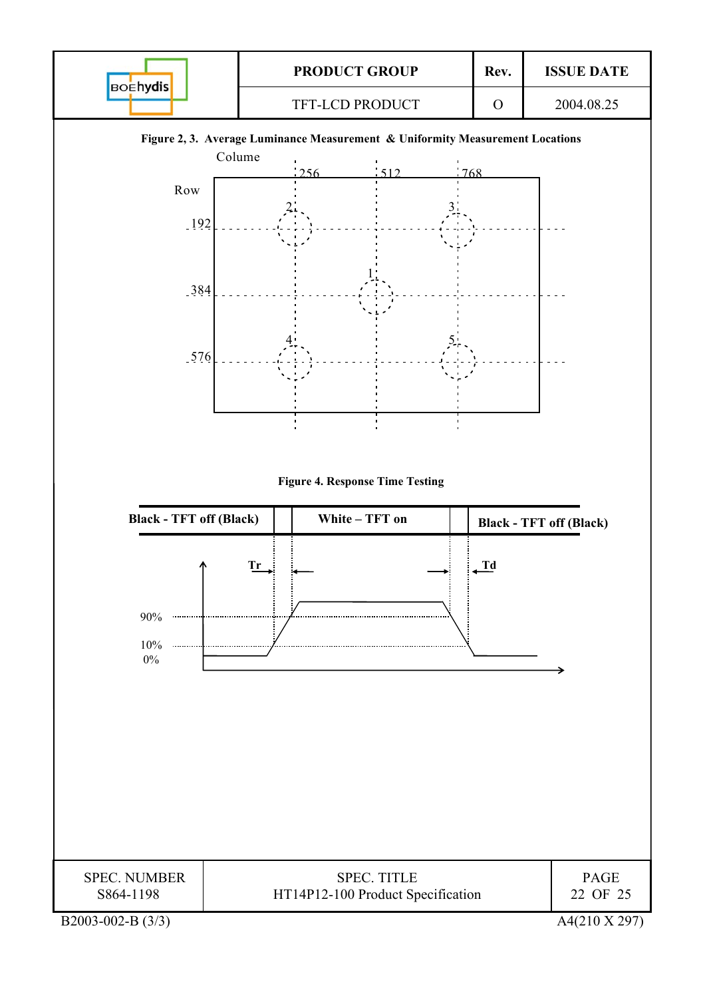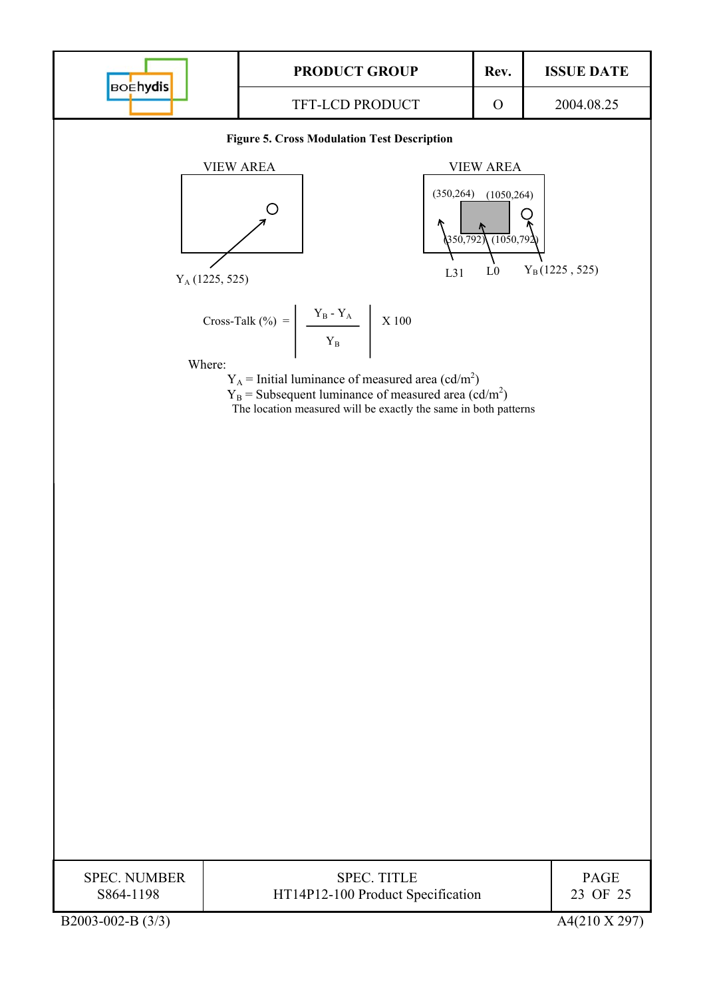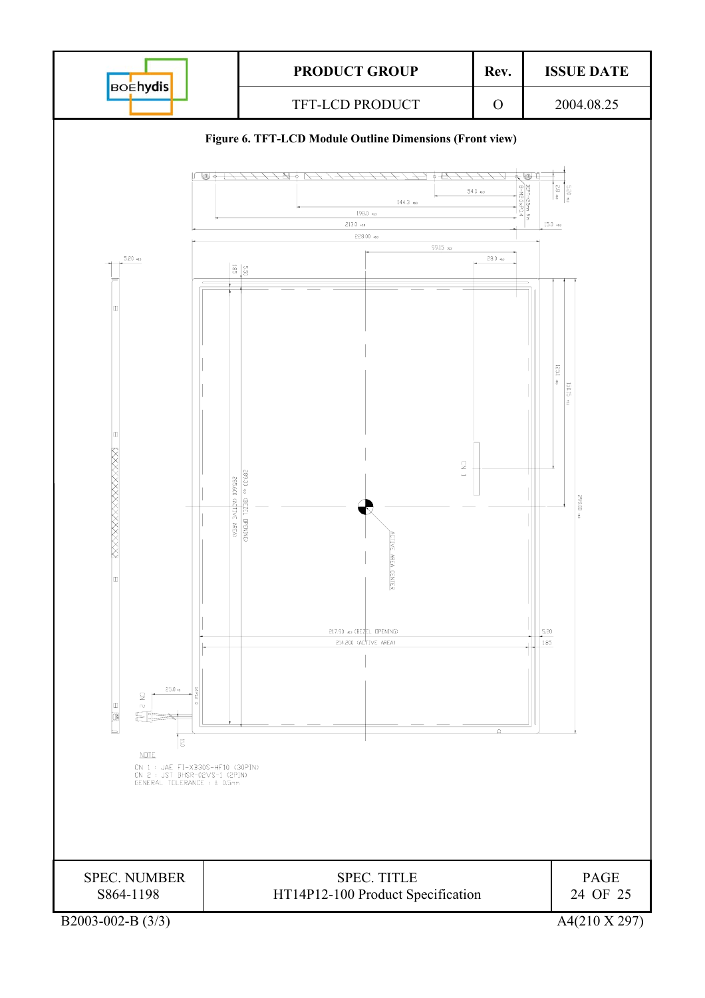